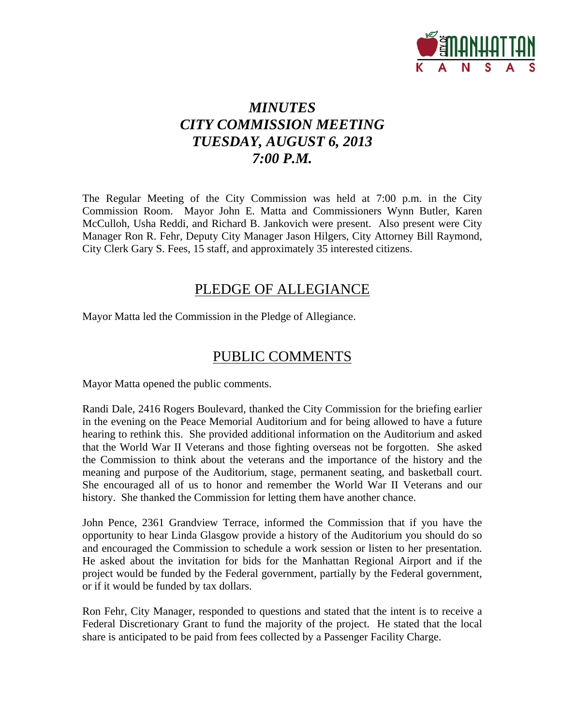

# *MINUTES CITY COMMISSION MEETING TUESDAY, AUGUST 6, 2013 7:00 P.M.*

The Regular Meeting of the City Commission was held at 7:00 p.m. in the City Commission Room. Mayor John E. Matta and Commissioners Wynn Butler, Karen McCulloh, Usha Reddi, and Richard B. Jankovich were present. Also present were City Manager Ron R. Fehr, Deputy City Manager Jason Hilgers, City Attorney Bill Raymond, City Clerk Gary S. Fees, 15 staff, and approximately 35 interested citizens.

## PLEDGE OF ALLEGIANCE

Mayor Matta led the Commission in the Pledge of Allegiance.

## PUBLIC COMMENTS

Mayor Matta opened the public comments.

Randi Dale, 2416 Rogers Boulevard, thanked the City Commission for the briefing earlier in the evening on the Peace Memorial Auditorium and for being allowed to have a future hearing to rethink this. She provided additional information on the Auditorium and asked that the World War II Veterans and those fighting overseas not be forgotten. She asked the Commission to think about the veterans and the importance of the history and the meaning and purpose of the Auditorium, stage, permanent seating, and basketball court. She encouraged all of us to honor and remember the World War II Veterans and our history. She thanked the Commission for letting them have another chance.

John Pence, 2361 Grandview Terrace, informed the Commission that if you have the opportunity to hear Linda Glasgow provide a history of the Auditorium you should do so and encouraged the Commission to schedule a work session or listen to her presentation. He asked about the invitation for bids for the Manhattan Regional Airport and if the project would be funded by the Federal government, partially by the Federal government, or if it would be funded by tax dollars.

Ron Fehr, City Manager, responded to questions and stated that the intent is to receive a Federal Discretionary Grant to fund the majority of the project. He stated that the local share is anticipated to be paid from fees collected by a Passenger Facility Charge.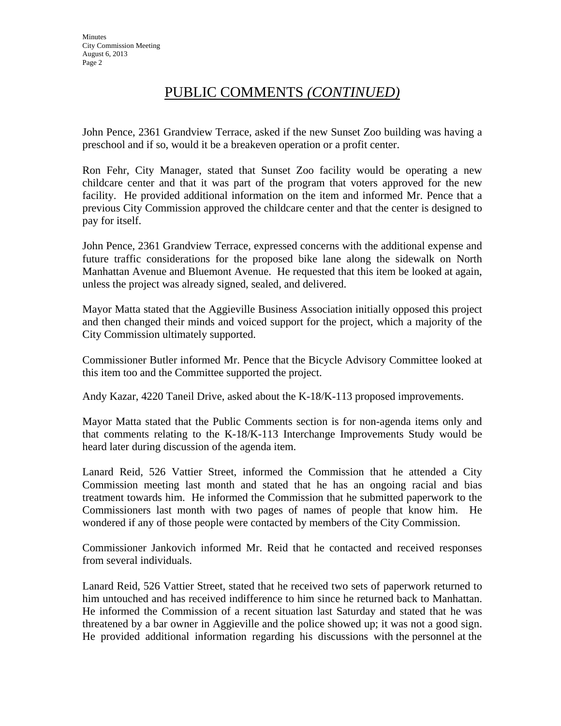## PUBLIC COMMENTS *(CONTINUED)*

John Pence, 2361 Grandview Terrace, asked if the new Sunset Zoo building was having a preschool and if so, would it be a breakeven operation or a profit center.

Ron Fehr, City Manager, stated that Sunset Zoo facility would be operating a new childcare center and that it was part of the program that voters approved for the new facility. He provided additional information on the item and informed Mr. Pence that a previous City Commission approved the childcare center and that the center is designed to pay for itself.

John Pence, 2361 Grandview Terrace, expressed concerns with the additional expense and future traffic considerations for the proposed bike lane along the sidewalk on North Manhattan Avenue and Bluemont Avenue. He requested that this item be looked at again, unless the project was already signed, sealed, and delivered.

Mayor Matta stated that the Aggieville Business Association initially opposed this project and then changed their minds and voiced support for the project, which a majority of the City Commission ultimately supported.

Commissioner Butler informed Mr. Pence that the Bicycle Advisory Committee looked at this item too and the Committee supported the project.

Andy Kazar, 4220 Taneil Drive, asked about the K-18/K-113 proposed improvements.

Mayor Matta stated that the Public Comments section is for non-agenda items only and that comments relating to the K-18/K-113 Interchange Improvements Study would be heard later during discussion of the agenda item.

Lanard Reid, 526 Vattier Street, informed the Commission that he attended a City Commission meeting last month and stated that he has an ongoing racial and bias treatment towards him. He informed the Commission that he submitted paperwork to the Commissioners last month with two pages of names of people that know him. He wondered if any of those people were contacted by members of the City Commission.

Commissioner Jankovich informed Mr. Reid that he contacted and received responses from several individuals.

Lanard Reid, 526 Vattier Street, stated that he received two sets of paperwork returned to him untouched and has received indifference to him since he returned back to Manhattan. He informed the Commission of a recent situation last Saturday and stated that he was threatened by a bar owner in Aggieville and the police showed up; it was not a good sign. He provided additional information regarding his discussions with the personnel at the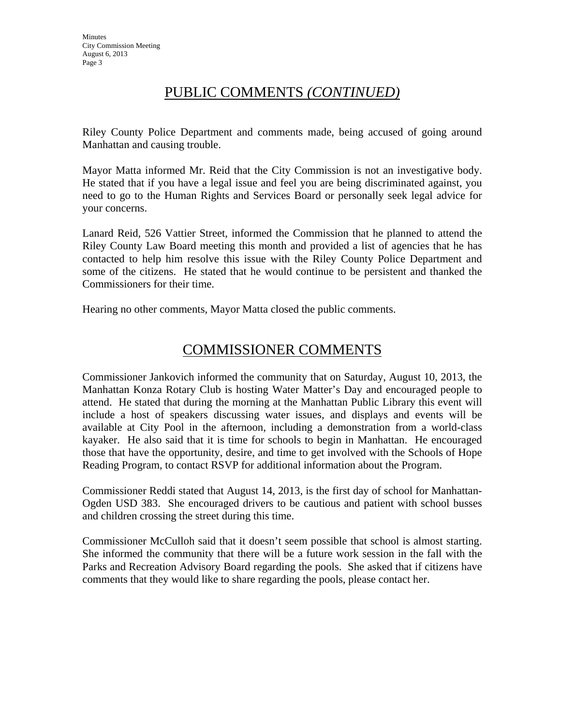## PUBLIC COMMENTS *(CONTINUED)*

Riley County Police Department and comments made, being accused of going around Manhattan and causing trouble.

Mayor Matta informed Mr. Reid that the City Commission is not an investigative body. He stated that if you have a legal issue and feel you are being discriminated against, you need to go to the Human Rights and Services Board or personally seek legal advice for your concerns.

Lanard Reid, 526 Vattier Street, informed the Commission that he planned to attend the Riley County Law Board meeting this month and provided a list of agencies that he has contacted to help him resolve this issue with the Riley County Police Department and some of the citizens. He stated that he would continue to be persistent and thanked the Commissioners for their time.

Hearing no other comments, Mayor Matta closed the public comments.

## COMMISSIONER COMMENTS

Commissioner Jankovich informed the community that on Saturday, August 10, 2013, the Manhattan Konza Rotary Club is hosting Water Matter's Day and encouraged people to attend. He stated that during the morning at the Manhattan Public Library this event will include a host of speakers discussing water issues, and displays and events will be available at City Pool in the afternoon, including a demonstration from a world-class kayaker. He also said that it is time for schools to begin in Manhattan. He encouraged those that have the opportunity, desire, and time to get involved with the Schools of Hope Reading Program, to contact RSVP for additional information about the Program.

Commissioner Reddi stated that August 14, 2013, is the first day of school for Manhattan-Ogden USD 383. She encouraged drivers to be cautious and patient with school busses and children crossing the street during this time.

Commissioner McCulloh said that it doesn't seem possible that school is almost starting. She informed the community that there will be a future work session in the fall with the Parks and Recreation Advisory Board regarding the pools. She asked that if citizens have comments that they would like to share regarding the pools, please contact her.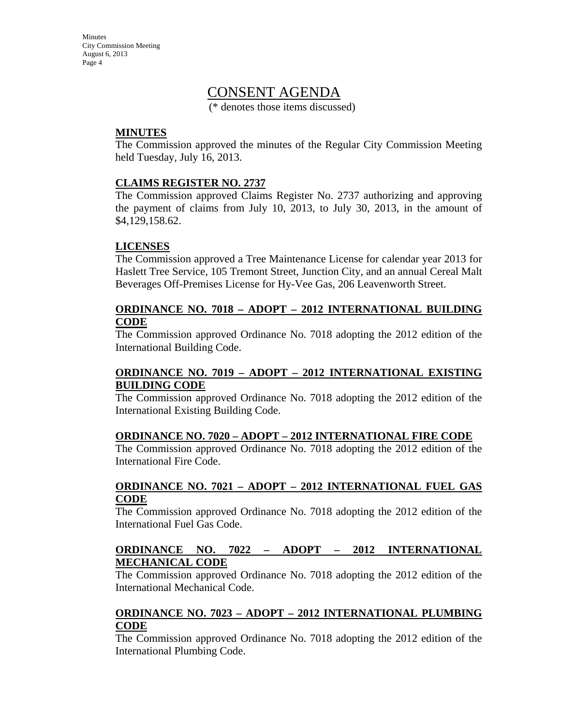**Minutes** City Commission Meeting August 6, 2013 Page 4

## CONSENT AGENDA

(\* denotes those items discussed)

### **MINUTES**

The Commission approved the minutes of the Regular City Commission Meeting held Tuesday, July 16, 2013.

### **CLAIMS REGISTER NO. 2737**

The Commission approved Claims Register No. 2737 authorizing and approving the payment of claims from July 10, 2013, to July 30, 2013, in the amount of \$4,129,158.62.

### **LICENSES**

The Commission approved a Tree Maintenance License for calendar year 2013 for Haslett Tree Service, 105 Tremont Street, Junction City, and an annual Cereal Malt Beverages Off-Premises License for Hy-Vee Gas, 206 Leavenworth Street.

### **ORDINANCE NO. 7018 – ADOPT – 2012 INTERNATIONAL BUILDING CODE**

The Commission approved Ordinance No. 7018 adopting the 2012 edition of the International Building Code.

### **ORDINANCE NO. 7019 – ADOPT – 2012 INTERNATIONAL EXISTING BUILDING CODE**

The Commission approved Ordinance No. 7018 adopting the 2012 edition of the International Existing Building Code.

#### **ORDINANCE NO. 7020 – ADOPT – 2012 INTERNATIONAL FIRE CODE**

The Commission approved Ordinance No. 7018 adopting the 2012 edition of the International Fire Code.

### **ORDINANCE NO. 7021 – ADOPT – 2012 INTERNATIONAL FUEL GAS CODE**

The Commission approved Ordinance No. 7018 adopting the 2012 edition of the International Fuel Gas Code.

### **ORDINANCE NO. 7022 – ADOPT – 2012 INTERNATIONAL MECHANICAL CODE**

The Commission approved Ordinance No. 7018 adopting the 2012 edition of the International Mechanical Code.

### **ORDINANCE NO. 7023 – ADOPT – 2012 INTERNATIONAL PLUMBING CODE**

The Commission approved Ordinance No. 7018 adopting the 2012 edition of the International Plumbing Code.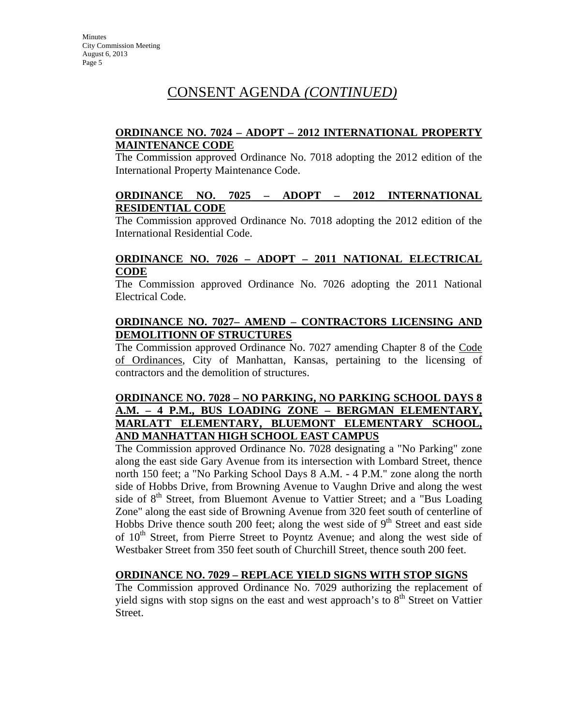# CONSENT AGENDA *(CONTINUED)*

### **ORDINANCE NO. 7024 – ADOPT – 2012 INTERNATIONAL PROPERTY MAINTENANCE CODE**

The Commission approved Ordinance No. 7018 adopting the 2012 edition of the International Property Maintenance Code.

### **ORDINANCE NO. 7025 – ADOPT – 2012 INTERNATIONAL RESIDENTIAL CODE**

The Commission approved Ordinance No. 7018 adopting the 2012 edition of the International Residential Code.

### **ORDINANCE NO. 7026 – ADOPT – 2011 NATIONAL ELECTRICAL CODE**

The Commission approved Ordinance No. 7026 adopting the 2011 National Electrical Code.

### **ORDINANCE NO. 7027– AMEND – CONTRACTORS LICENSING AND DEMOLITIONN OF STRUCTURES**

The Commission approved Ordinance No. 7027 amending Chapter 8 of the Code of Ordinances, City of Manhattan, Kansas, pertaining to the licensing of contractors and the demolition of structures.

### **ORDINANCE NO. 7028 – NO PARKING, NO PARKING SCHOOL DAYS 8 A.M. – 4 P.M., BUS LOADING ZONE – BERGMAN ELEMENTARY, MARLATT ELEMENTARY, BLUEMONT ELEMENTARY SCHOOL, AND MANHATTAN HIGH SCHOOL EAST CAMPUS**

The Commission approved Ordinance No. 7028 designating a "No Parking" zone along the east side Gary Avenue from its intersection with Lombard Street, thence north 150 feet; a "No Parking School Days 8 A.M. - 4 P.M." zone along the north side of Hobbs Drive, from Browning Avenue to Vaughn Drive and along the west side of 8<sup>th</sup> Street, from Bluemont Avenue to Vattier Street; and a "Bus Loading Zone" along the east side of Browning Avenue from 320 feet south of centerline of Hobbs Drive thence south 200 feet; along the west side of  $9<sup>th</sup>$  Street and east side of  $10^{th}$  Street, from Pierre Street to Poyntz Avenue; and along the west side of Westbaker Street from 350 feet south of Churchill Street, thence south 200 feet.

### **ORDINANCE NO. 7029 – REPLACE YIELD SIGNS WITH STOP SIGNS**

The Commission approved Ordinance No. 7029 authorizing the replacement of yield signs with stop signs on the east and west approach's to  $8<sup>th</sup>$  Street on Vattier Street.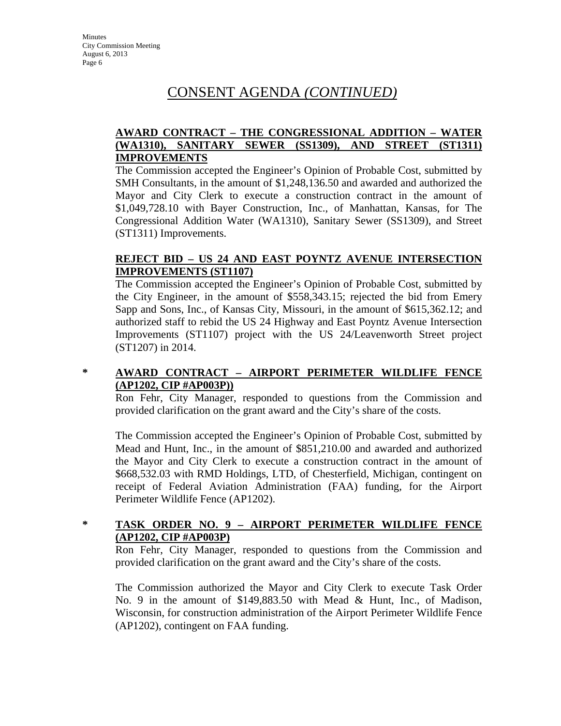## CONSENT AGENDA *(CONTINUED)*

### **AWARD CONTRACT – THE CONGRESSIONAL ADDITION – WATER (WA1310), SANITARY SEWER (SS1309), AND STREET (ST1311) IMPROVEMENTS**

The Commission accepted the Engineer's Opinion of Probable Cost, submitted by SMH Consultants, in the amount of \$1,248,136.50 and awarded and authorized the Mayor and City Clerk to execute a construction contract in the amount of \$1,049,728.10 with Bayer Construction, Inc., of Manhattan, Kansas, for The Congressional Addition Water (WA1310), Sanitary Sewer (SS1309), and Street (ST1311) Improvements.

### **REJECT BID – US 24 AND EAST POYNTZ AVENUE INTERSECTION IMPROVEMENTS (ST1107)**

The Commission accepted the Engineer's Opinion of Probable Cost, submitted by the City Engineer, in the amount of \$558,343.15; rejected the bid from Emery Sapp and Sons, Inc., of Kansas City, Missouri, in the amount of \$615,362.12; and authorized staff to rebid the US 24 Highway and East Poyntz Avenue Intersection Improvements (ST1107) project with the US 24/Leavenworth Street project (ST1207) in 2014.

### **\* AWARD CONTRACT – AIRPORT PERIMETER WILDLIFE FENCE (AP1202, CIP #AP003P))**

Ron Fehr, City Manager, responded to questions from the Commission and provided clarification on the grant award and the City's share of the costs.

The Commission accepted the Engineer's Opinion of Probable Cost, submitted by Mead and Hunt, Inc., in the amount of \$851,210.00 and awarded and authorized the Mayor and City Clerk to execute a construction contract in the amount of \$668,532.03 with RMD Holdings, LTD, of Chesterfield, Michigan, contingent on receipt of Federal Aviation Administration (FAA) funding, for the Airport Perimeter Wildlife Fence (AP1202).

### **\* TASK ORDER NO. 9 – AIRPORT PERIMETER WILDLIFE FENCE (AP1202, CIP #AP003P)**

Ron Fehr, City Manager, responded to questions from the Commission and provided clarification on the grant award and the City's share of the costs.

The Commission authorized the Mayor and City Clerk to execute Task Order No. 9 in the amount of \$149,883.50 with Mead & Hunt, Inc., of Madison, Wisconsin, for construction administration of the Airport Perimeter Wildlife Fence (AP1202), contingent on FAA funding.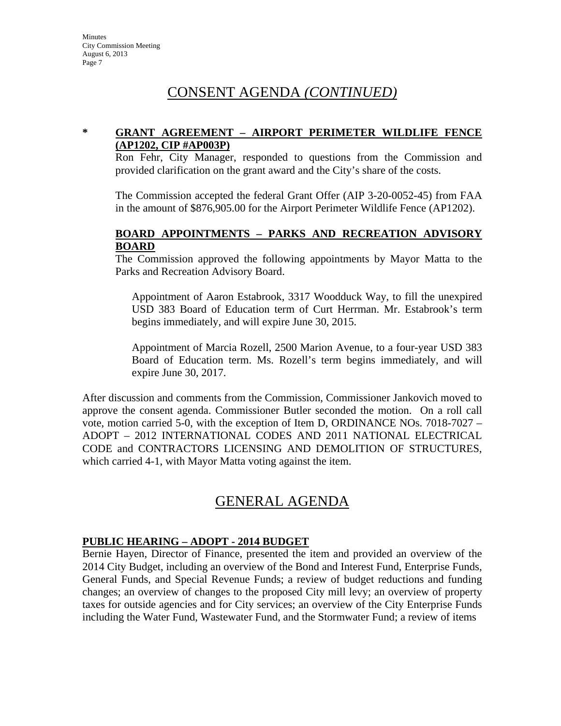# CONSENT AGENDA *(CONTINUED)*

### **\* GRANT AGREEMENT – AIRPORT PERIMETER WILDLIFE FENCE (AP1202, CIP #AP003P)**

Ron Fehr, City Manager, responded to questions from the Commission and provided clarification on the grant award and the City's share of the costs.

The Commission accepted the federal Grant Offer (AIP 3-20-0052-45) from FAA in the amount of \$876,905.00 for the Airport Perimeter Wildlife Fence (AP1202).

### **BOARD APPOINTMENTS – PARKS AND RECREATION ADVISORY BOARD**

The Commission approved the following appointments by Mayor Matta to the Parks and Recreation Advisory Board.

Appointment of Aaron Estabrook, 3317 Woodduck Way, to fill the unexpired USD 383 Board of Education term of Curt Herrman. Mr. Estabrook's term begins immediately, and will expire June 30, 2015.

Appointment of Marcia Rozell, 2500 Marion Avenue, to a four-year USD 383 Board of Education term. Ms. Rozell's term begins immediately, and will expire June 30, 2017.

After discussion and comments from the Commission, Commissioner Jankovich moved to approve the consent agenda. Commissioner Butler seconded the motion. On a roll call vote, motion carried 5-0, with the exception of Item D, ORDINANCE NOs. 7018-7027 – ADOPT – 2012 INTERNATIONAL CODES AND 2011 NATIONAL ELECTRICAL CODE and CONTRACTORS LICENSING AND DEMOLITION OF STRUCTURES, which carried 4-1, with Mayor Matta voting against the item.

# GENERAL AGENDA

### **PUBLIC HEARING – ADOPT - 2014 BUDGET**

Bernie Hayen, Director of Finance, presented the item and provided an overview of the 2014 City Budget, including an overview of the Bond and Interest Fund, Enterprise Funds, General Funds, and Special Revenue Funds; a review of budget reductions and funding changes; an overview of changes to the proposed City mill levy; an overview of property taxes for outside agencies and for City services; an overview of the City Enterprise Funds including the Water Fund, Wastewater Fund, and the Stormwater Fund; a review of items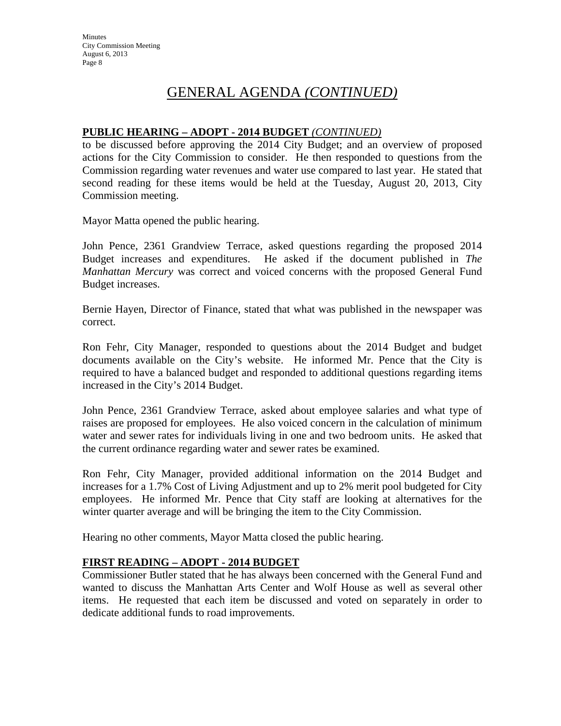### **PUBLIC HEARING – ADOPT - 2014 BUDGET** *(CONTINUED)*

to be discussed before approving the 2014 City Budget; and an overview of proposed actions for the City Commission to consider. He then responded to questions from the Commission regarding water revenues and water use compared to last year. He stated that second reading for these items would be held at the Tuesday, August 20, 2013, City Commission meeting.

Mayor Matta opened the public hearing.

John Pence, 2361 Grandview Terrace, asked questions regarding the proposed 2014 Budget increases and expenditures. He asked if the document published in *The Manhattan Mercury* was correct and voiced concerns with the proposed General Fund Budget increases.

Bernie Hayen, Director of Finance, stated that what was published in the newspaper was correct.

Ron Fehr, City Manager, responded to questions about the 2014 Budget and budget documents available on the City's website. He informed Mr. Pence that the City is required to have a balanced budget and responded to additional questions regarding items increased in the City's 2014 Budget.

John Pence, 2361 Grandview Terrace, asked about employee salaries and what type of raises are proposed for employees. He also voiced concern in the calculation of minimum water and sewer rates for individuals living in one and two bedroom units. He asked that the current ordinance regarding water and sewer rates be examined.

Ron Fehr, City Manager, provided additional information on the 2014 Budget and increases for a 1.7% Cost of Living Adjustment and up to 2% merit pool budgeted for City employees. He informed Mr. Pence that City staff are looking at alternatives for the winter quarter average and will be bringing the item to the City Commission.

Hearing no other comments, Mayor Matta closed the public hearing.

### **FIRST READING – ADOPT - 2014 BUDGET**

Commissioner Butler stated that he has always been concerned with the General Fund and wanted to discuss the Manhattan Arts Center and Wolf House as well as several other items. He requested that each item be discussed and voted on separately in order to dedicate additional funds to road improvements.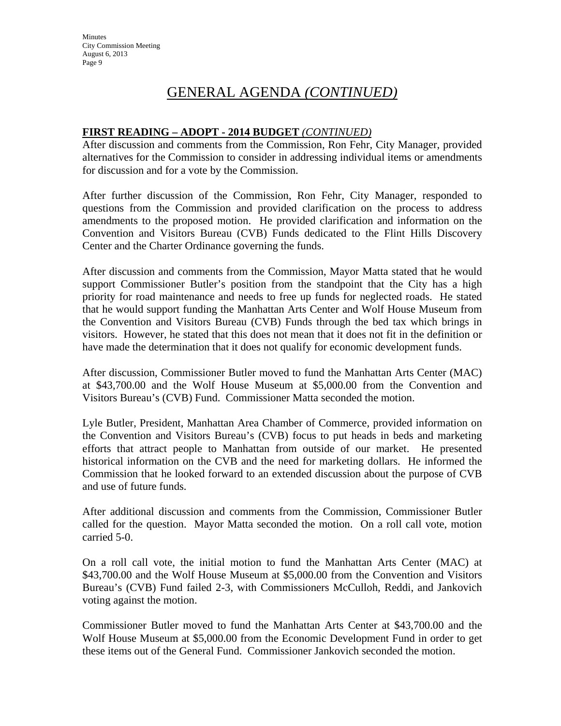### **FIRST READING – ADOPT - 2014 BUDGET** *(CONTINUED)*

After discussion and comments from the Commission, Ron Fehr, City Manager, provided alternatives for the Commission to consider in addressing individual items or amendments for discussion and for a vote by the Commission.

After further discussion of the Commission, Ron Fehr, City Manager, responded to questions from the Commission and provided clarification on the process to address amendments to the proposed motion. He provided clarification and information on the Convention and Visitors Bureau (CVB) Funds dedicated to the Flint Hills Discovery Center and the Charter Ordinance governing the funds.

After discussion and comments from the Commission, Mayor Matta stated that he would support Commissioner Butler's position from the standpoint that the City has a high priority for road maintenance and needs to free up funds for neglected roads. He stated that he would support funding the Manhattan Arts Center and Wolf House Museum from the Convention and Visitors Bureau (CVB) Funds through the bed tax which brings in visitors. However, he stated that this does not mean that it does not fit in the definition or have made the determination that it does not qualify for economic development funds.

After discussion, Commissioner Butler moved to fund the Manhattan Arts Center (MAC) at \$43,700.00 and the Wolf House Museum at \$5,000.00 from the Convention and Visitors Bureau's (CVB) Fund. Commissioner Matta seconded the motion.

Lyle Butler, President, Manhattan Area Chamber of Commerce, provided information on the Convention and Visitors Bureau's (CVB) focus to put heads in beds and marketing efforts that attract people to Manhattan from outside of our market. He presented historical information on the CVB and the need for marketing dollars. He informed the Commission that he looked forward to an extended discussion about the purpose of CVB and use of future funds.

After additional discussion and comments from the Commission, Commissioner Butler called for the question. Mayor Matta seconded the motion. On a roll call vote, motion carried 5-0.

On a roll call vote, the initial motion to fund the Manhattan Arts Center (MAC) at \$43,700.00 and the Wolf House Museum at \$5,000.00 from the Convention and Visitors Bureau's (CVB) Fund failed 2-3, with Commissioners McCulloh, Reddi, and Jankovich voting against the motion.

Commissioner Butler moved to fund the Manhattan Arts Center at \$43,700.00 and the Wolf House Museum at \$5,000.00 from the Economic Development Fund in order to get these items out of the General Fund. Commissioner Jankovich seconded the motion.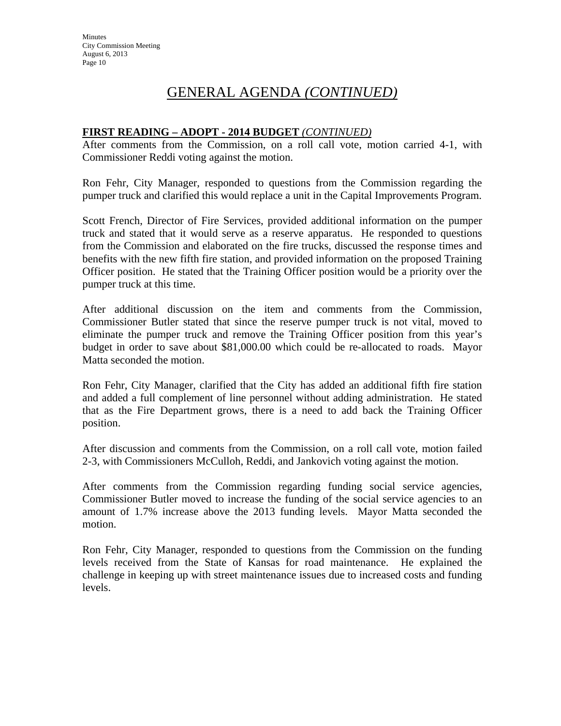### **FIRST READING – ADOPT - 2014 BUDGET** *(CONTINUED)*

After comments from the Commission, on a roll call vote, motion carried 4-1, with Commissioner Reddi voting against the motion.

Ron Fehr, City Manager, responded to questions from the Commission regarding the pumper truck and clarified this would replace a unit in the Capital Improvements Program.

Scott French, Director of Fire Services, provided additional information on the pumper truck and stated that it would serve as a reserve apparatus. He responded to questions from the Commission and elaborated on the fire trucks, discussed the response times and benefits with the new fifth fire station, and provided information on the proposed Training Officer position. He stated that the Training Officer position would be a priority over the pumper truck at this time.

After additional discussion on the item and comments from the Commission, Commissioner Butler stated that since the reserve pumper truck is not vital, moved to eliminate the pumper truck and remove the Training Officer position from this year's budget in order to save about \$81,000.00 which could be re-allocated to roads. Mayor Matta seconded the motion.

Ron Fehr, City Manager, clarified that the City has added an additional fifth fire station and added a full complement of line personnel without adding administration. He stated that as the Fire Department grows, there is a need to add back the Training Officer position.

After discussion and comments from the Commission, on a roll call vote, motion failed 2-3, with Commissioners McCulloh, Reddi, and Jankovich voting against the motion.

After comments from the Commission regarding funding social service agencies, Commissioner Butler moved to increase the funding of the social service agencies to an amount of 1.7% increase above the 2013 funding levels. Mayor Matta seconded the motion.

Ron Fehr, City Manager, responded to questions from the Commission on the funding levels received from the State of Kansas for road maintenance. He explained the challenge in keeping up with street maintenance issues due to increased costs and funding levels.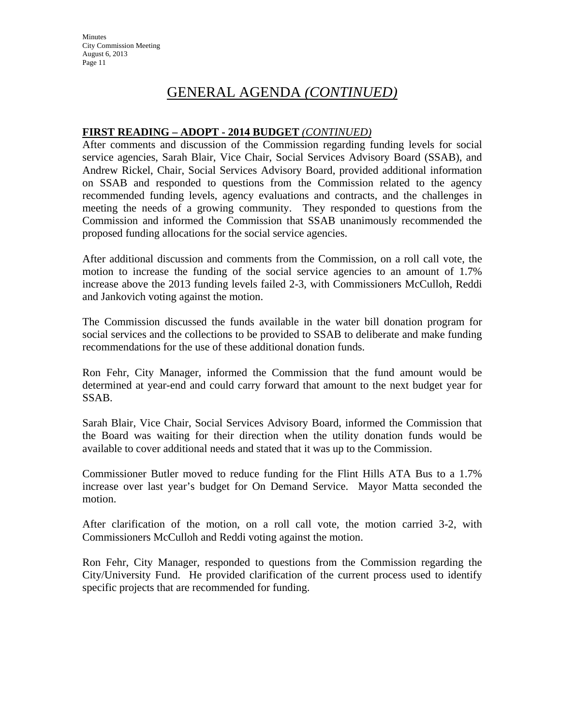**Minutes** City Commission Meeting August 6, 2013 Page 11

## GENERAL AGENDA *(CONTINUED)*

### **FIRST READING – ADOPT - 2014 BUDGET** *(CONTINUED)*

After comments and discussion of the Commission regarding funding levels for social service agencies, Sarah Blair, Vice Chair, Social Services Advisory Board (SSAB), and Andrew Rickel, Chair, Social Services Advisory Board, provided additional information on SSAB and responded to questions from the Commission related to the agency recommended funding levels, agency evaluations and contracts, and the challenges in meeting the needs of a growing community. They responded to questions from the Commission and informed the Commission that SSAB unanimously recommended the proposed funding allocations for the social service agencies.

After additional discussion and comments from the Commission, on a roll call vote, the motion to increase the funding of the social service agencies to an amount of 1.7% increase above the 2013 funding levels failed 2-3, with Commissioners McCulloh, Reddi and Jankovich voting against the motion.

The Commission discussed the funds available in the water bill donation program for social services and the collections to be provided to SSAB to deliberate and make funding recommendations for the use of these additional donation funds.

Ron Fehr, City Manager, informed the Commission that the fund amount would be determined at year-end and could carry forward that amount to the next budget year for SSAB.

Sarah Blair, Vice Chair, Social Services Advisory Board, informed the Commission that the Board was waiting for their direction when the utility donation funds would be available to cover additional needs and stated that it was up to the Commission.

Commissioner Butler moved to reduce funding for the Flint Hills ATA Bus to a 1.7% increase over last year's budget for On Demand Service. Mayor Matta seconded the motion.

After clarification of the motion, on a roll call vote, the motion carried 3-2, with Commissioners McCulloh and Reddi voting against the motion.

Ron Fehr, City Manager, responded to questions from the Commission regarding the City/University Fund. He provided clarification of the current process used to identify specific projects that are recommended for funding.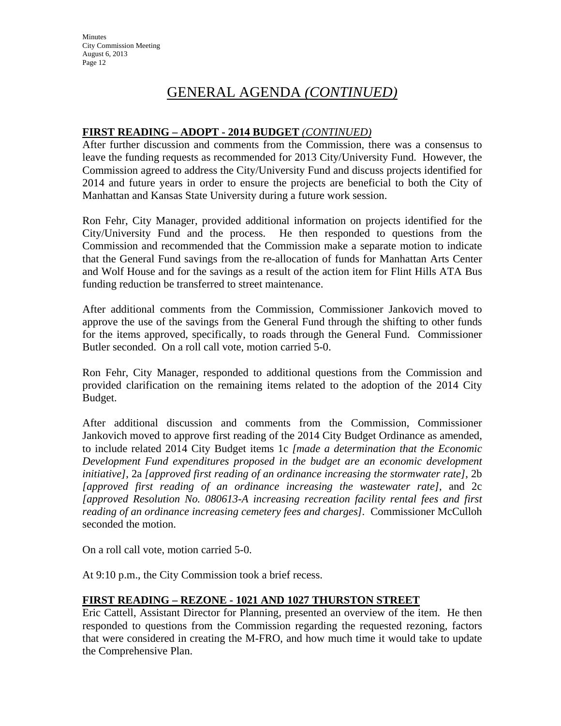**Minutes** City Commission Meeting August 6, 2013 Page 12

## GENERAL AGENDA *(CONTINUED)*

### **FIRST READING – ADOPT - 2014 BUDGET** *(CONTINUED)*

After further discussion and comments from the Commission, there was a consensus to leave the funding requests as recommended for 2013 City/University Fund. However, the Commission agreed to address the City/University Fund and discuss projects identified for 2014 and future years in order to ensure the projects are beneficial to both the City of Manhattan and Kansas State University during a future work session.

Ron Fehr, City Manager, provided additional information on projects identified for the City/University Fund and the process. He then responded to questions from the Commission and recommended that the Commission make a separate motion to indicate that the General Fund savings from the re-allocation of funds for Manhattan Arts Center and Wolf House and for the savings as a result of the action item for Flint Hills ATA Bus funding reduction be transferred to street maintenance.

After additional comments from the Commission, Commissioner Jankovich moved to approve the use of the savings from the General Fund through the shifting to other funds for the items approved, specifically, to roads through the General Fund. Commissioner Butler seconded. On a roll call vote, motion carried 5-0.

Ron Fehr, City Manager, responded to additional questions from the Commission and provided clarification on the remaining items related to the adoption of the 2014 City Budget.

After additional discussion and comments from the Commission, Commissioner Jankovich moved to approve first reading of the 2014 City Budget Ordinance as amended, to include related 2014 City Budget items 1c *[made a determination that the Economic Development Fund expenditures proposed in the budget are an economic development initiative]*, 2a *[approved first reading of an ordinance increasing the stormwater rate]*, 2b *[approved first reading of an ordinance increasing the wastewater rate]*, and 2c *[approved Resolution No. 080613-A increasing recreation facility rental fees and first reading of an ordinance increasing cemetery fees and charges].* Commissioner McCulloh seconded the motion.

On a roll call vote, motion carried 5-0.

At 9:10 p.m., the City Commission took a brief recess.

#### **FIRST READING – REZONE - 1021 AND 1027 THURSTON STREET**

Eric Cattell, Assistant Director for Planning, presented an overview of the item. He then responded to questions from the Commission regarding the requested rezoning, factors that were considered in creating the M-FRO, and how much time it would take to update the Comprehensive Plan.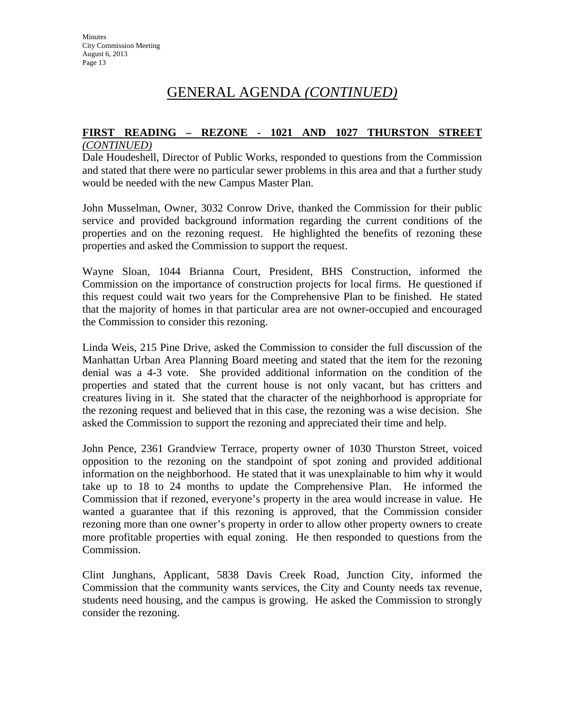### **FIRST READING – REZONE - 1021 AND 1027 THURSTON STREET**

#### *(CONTINUED)*

Dale Houdeshell, Director of Public Works, responded to questions from the Commission and stated that there were no particular sewer problems in this area and that a further study would be needed with the new Campus Master Plan.

John Musselman, Owner, 3032 Conrow Drive, thanked the Commission for their public service and provided background information regarding the current conditions of the properties and on the rezoning request. He highlighted the benefits of rezoning these properties and asked the Commission to support the request.

Wayne Sloan, 1044 Brianna Court, President, BHS Construction, informed the Commission on the importance of construction projects for local firms. He questioned if this request could wait two years for the Comprehensive Plan to be finished. He stated that the majority of homes in that particular area are not owner-occupied and encouraged the Commission to consider this rezoning.

Linda Weis, 215 Pine Drive, asked the Commission to consider the full discussion of the Manhattan Urban Area Planning Board meeting and stated that the item for the rezoning denial was a 4-3 vote. She provided additional information on the condition of the properties and stated that the current house is not only vacant, but has critters and creatures living in it. She stated that the character of the neighborhood is appropriate for the rezoning request and believed that in this case, the rezoning was a wise decision. She asked the Commission to support the rezoning and appreciated their time and help.

John Pence, 2361 Grandview Terrace, property owner of 1030 Thurston Street, voiced opposition to the rezoning on the standpoint of spot zoning and provided additional information on the neighborhood. He stated that it was unexplainable to him why it would take up to 18 to 24 months to update the Comprehensive Plan. He informed the Commission that if rezoned, everyone's property in the area would increase in value. He wanted a guarantee that if this rezoning is approved, that the Commission consider rezoning more than one owner's property in order to allow other property owners to create more profitable properties with equal zoning. He then responded to questions from the Commission.

Clint Junghans, Applicant, 5838 Davis Creek Road, Junction City, informed the Commission that the community wants services, the City and County needs tax revenue, students need housing, and the campus is growing. He asked the Commission to strongly consider the rezoning.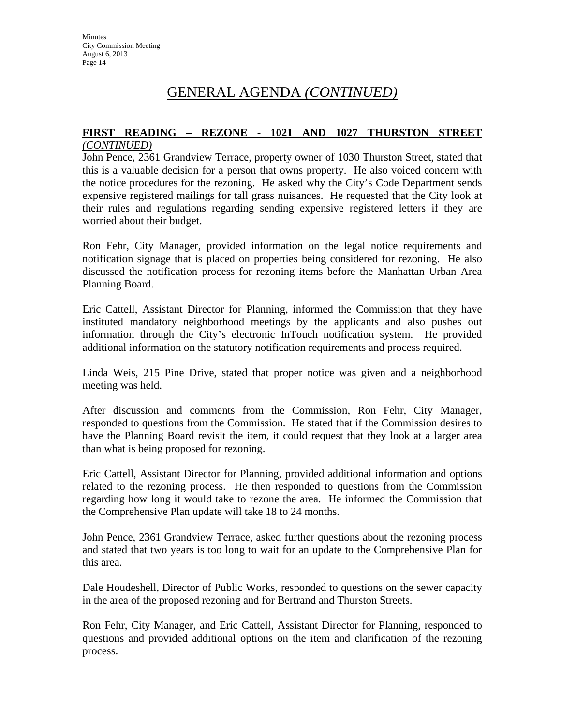## **FIRST READING – REZONE - 1021 AND 1027 THURSTON STREET**

### *(CONTINUED)*

John Pence, 2361 Grandview Terrace, property owner of 1030 Thurston Street, stated that this is a valuable decision for a person that owns property. He also voiced concern with the notice procedures for the rezoning. He asked why the City's Code Department sends expensive registered mailings for tall grass nuisances. He requested that the City look at their rules and regulations regarding sending expensive registered letters if they are worried about their budget.

Ron Fehr, City Manager, provided information on the legal notice requirements and notification signage that is placed on properties being considered for rezoning. He also discussed the notification process for rezoning items before the Manhattan Urban Area Planning Board.

Eric Cattell, Assistant Director for Planning, informed the Commission that they have instituted mandatory neighborhood meetings by the applicants and also pushes out information through the City's electronic InTouch notification system. He provided additional information on the statutory notification requirements and process required.

Linda Weis, 215 Pine Drive, stated that proper notice was given and a neighborhood meeting was held.

After discussion and comments from the Commission, Ron Fehr, City Manager, responded to questions from the Commission. He stated that if the Commission desires to have the Planning Board revisit the item, it could request that they look at a larger area than what is being proposed for rezoning.

Eric Cattell, Assistant Director for Planning, provided additional information and options related to the rezoning process. He then responded to questions from the Commission regarding how long it would take to rezone the area. He informed the Commission that the Comprehensive Plan update will take 18 to 24 months.

John Pence, 2361 Grandview Terrace, asked further questions about the rezoning process and stated that two years is too long to wait for an update to the Comprehensive Plan for this area.

Dale Houdeshell, Director of Public Works, responded to questions on the sewer capacity in the area of the proposed rezoning and for Bertrand and Thurston Streets.

Ron Fehr, City Manager, and Eric Cattell, Assistant Director for Planning, responded to questions and provided additional options on the item and clarification of the rezoning process.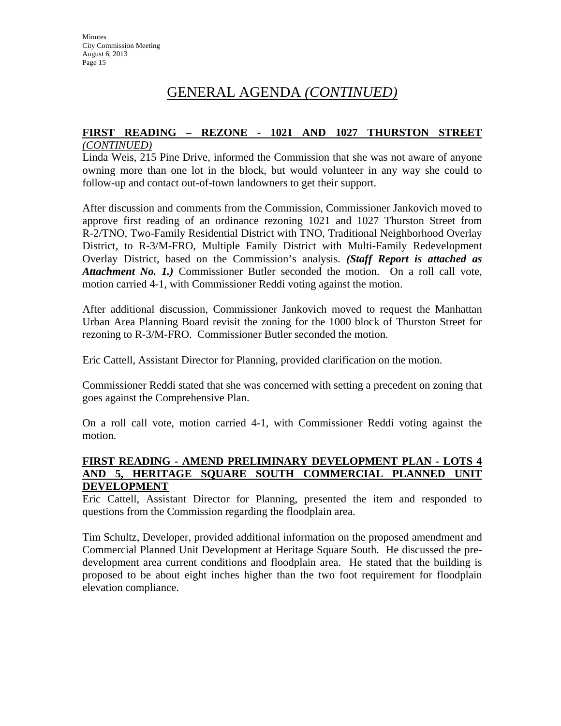## **FIRST READING – REZONE - 1021 AND 1027 THURSTON STREET**

### *(CONTINUED)*

Linda Weis, 215 Pine Drive, informed the Commission that she was not aware of anyone owning more than one lot in the block, but would volunteer in any way she could to follow-up and contact out-of-town landowners to get their support.

After discussion and comments from the Commission, Commissioner Jankovich moved to approve first reading of an ordinance rezoning 1021 and 1027 Thurston Street from R-2/TNO, Two-Family Residential District with TNO, Traditional Neighborhood Overlay District, to R-3/M-FRO, Multiple Family District with Multi-Family Redevelopment Overlay District, based on the Commission's analysis. *(Staff Report is attached as Attachment No. 1.)* Commissioner Butler seconded the motion. On a roll call vote, motion carried 4-1, with Commissioner Reddi voting against the motion.

After additional discussion, Commissioner Jankovich moved to request the Manhattan Urban Area Planning Board revisit the zoning for the 1000 block of Thurston Street for rezoning to R-3/M-FRO. Commissioner Butler seconded the motion.

Eric Cattell, Assistant Director for Planning, provided clarification on the motion.

Commissioner Reddi stated that she was concerned with setting a precedent on zoning that goes against the Comprehensive Plan.

On a roll call vote, motion carried 4-1, with Commissioner Reddi voting against the motion.

### **FIRST READING - AMEND PRELIMINARY DEVELOPMENT PLAN - LOTS 4 AND 5, HERITAGE SQUARE SOUTH COMMERCIAL PLANNED UNIT DEVELOPMENT**

Eric Cattell, Assistant Director for Planning, presented the item and responded to questions from the Commission regarding the floodplain area.

Tim Schultz, Developer, provided additional information on the proposed amendment and Commercial Planned Unit Development at Heritage Square South. He discussed the predevelopment area current conditions and floodplain area. He stated that the building is proposed to be about eight inches higher than the two foot requirement for floodplain elevation compliance.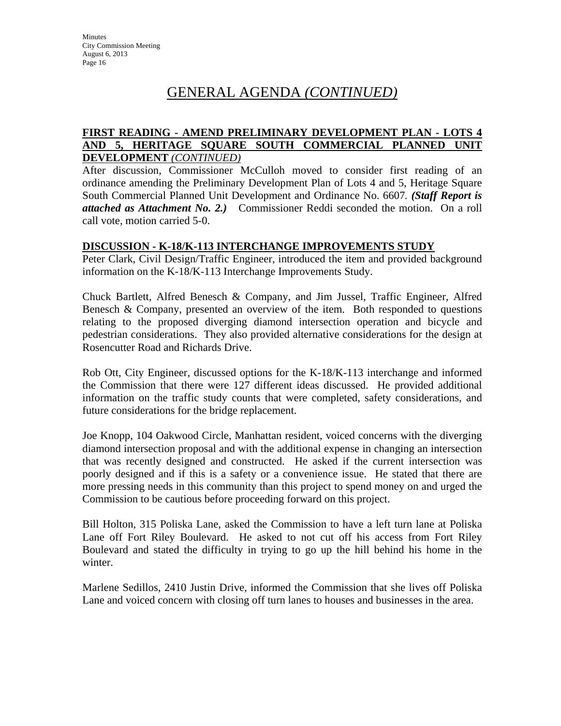### **FIRST READING - AMEND PRELIMINARY DEVELOPMENT PLAN - LOTS 4 AND 5, HERITAGE SQUARE SOUTH COMMERCIAL PLANNED UNIT DEVELOPMENT** *(CONTINUED)*

After discussion, Commissioner McCulloh moved to consider first reading of an ordinance amending the Preliminary Development Plan of Lots 4 and 5, Heritage Square South Commercial Planned Unit Development and Ordinance No. 6607*. (Staff Report is attached as Attachment No. 2.)* Commissioner Reddi seconded the motion. On a roll call vote, motion carried 5-0.

### **DISCUSSION - K-18/K-113 INTERCHANGE IMPROVEMENTS STUDY**

Peter Clark, Civil Design/Traffic Engineer, introduced the item and provided background information on the K-18/K-113 Interchange Improvements Study.

Chuck Bartlett, Alfred Benesch & Company, and Jim Jussel, Traffic Engineer, Alfred Benesch & Company, presented an overview of the item. Both responded to questions relating to the proposed diverging diamond intersection operation and bicycle and pedestrian considerations. They also provided alternative considerations for the design at Rosencutter Road and Richards Drive.

Rob Ott, City Engineer, discussed options for the K-18/K-113 interchange and informed the Commission that there were 127 different ideas discussed. He provided additional information on the traffic study counts that were completed, safety considerations, and future considerations for the bridge replacement.

Joe Knopp, 104 Oakwood Circle, Manhattan resident, voiced concerns with the diverging diamond intersection proposal and with the additional expense in changing an intersection that was recently designed and constructed. He asked if the current intersection was poorly designed and if this is a safety or a convenience issue. He stated that there are more pressing needs in this community than this project to spend money on and urged the Commission to be cautious before proceeding forward on this project.

Bill Holton, 315 Poliska Lane, asked the Commission to have a left turn lane at Poliska Lane off Fort Riley Boulevard. He asked to not cut off his access from Fort Riley Boulevard and stated the difficulty in trying to go up the hill behind his home in the winter.

Marlene Sedillos, 2410 Justin Drive, informed the Commission that she lives off Poliska Lane and voiced concern with closing off turn lanes to houses and businesses in the area.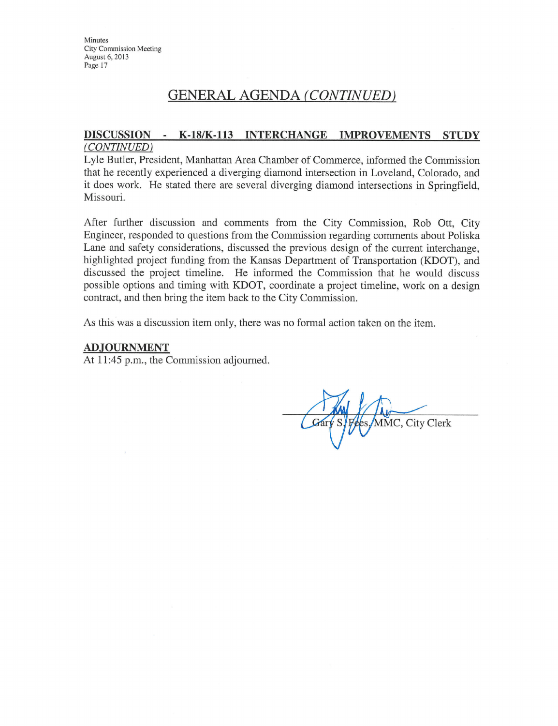**Minutes City Commission Meeting** August 6, 2013 Page 17

## **GENERAL AGENDA (CONTINUED)**

### DISCUSSION - K-18/K-113 INTERCHANGE IMPROVEMENTS STUDY (CONTINUED)

Lyle Butler, President, Manhattan Area Chamber of Commerce, informed the Commission that he recently experienced a diverging diamond intersection in Loveland, Colorado, and it does work. He stated there are several diverging diamond intersections in Springfield, Missouri.

After further discussion and comments from the City Commission, Rob Ott, City Engineer, responded to questions from the Commission regarding comments about Poliska Lane and safety considerations, discussed the previous design of the current interchange, highlighted project funding from the Kansas Department of Transportation (KDOT), and discussed the project timeline. He informed the Commission that he would discuss possible options and timing with KDOT, coordinate a project timeline, work on a design contract, and then bring the item back to the City Commission.

As this was a discussion item only, there was no formal action taken on the item.

#### **ADJOURNMENT**

At 11:45 p.m., the Commission adjourned.

MMC, City Clerk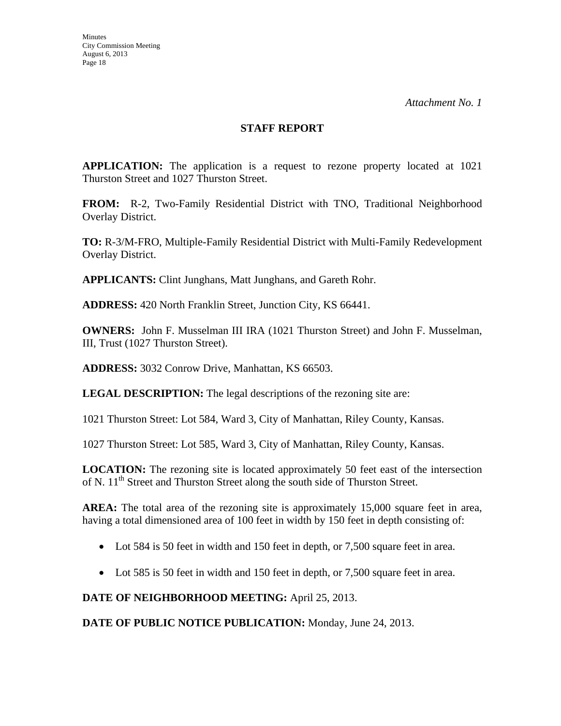### **STAFF REPORT**

**APPLICATION:** The application is a request to rezone property located at 1021 Thurston Street and 1027 Thurston Street.

**FROM:** R-2, Two-Family Residential District with TNO, Traditional Neighborhood Overlay District.

**TO:** R-3/M-FRO, Multiple-Family Residential District with Multi-Family Redevelopment Overlay District.

**APPLICANTS:** Clint Junghans, Matt Junghans, and Gareth Rohr.

**ADDRESS:** 420 North Franklin Street, Junction City, KS 66441.

**OWNERS:** John F. Musselman III IRA (1021 Thurston Street) and John F. Musselman, III, Trust (1027 Thurston Street).

**ADDRESS:** 3032 Conrow Drive, Manhattan, KS 66503.

**LEGAL DESCRIPTION:** The legal descriptions of the rezoning site are:

1021 Thurston Street: Lot 584, Ward 3, City of Manhattan, Riley County, Kansas.

1027 Thurston Street: Lot 585, Ward 3, City of Manhattan, Riley County, Kansas.

**LOCATION:** The rezoning site is located approximately 50 feet east of the intersection of N. 11<sup>th</sup> Street and Thurston Street along the south side of Thurston Street.

**AREA:** The total area of the rezoning site is approximately 15,000 square feet in area, having a total dimensioned area of 100 feet in width by 150 feet in depth consisting of:

- Lot 584 is 50 feet in width and 150 feet in depth, or 7,500 square feet in area.
- Lot 585 is 50 feet in width and 150 feet in depth, or 7,500 square feet in area.

**DATE OF NEIGHBORHOOD MEETING:** April 25, 2013.

**DATE OF PUBLIC NOTICE PUBLICATION:** Monday, June 24, 2013.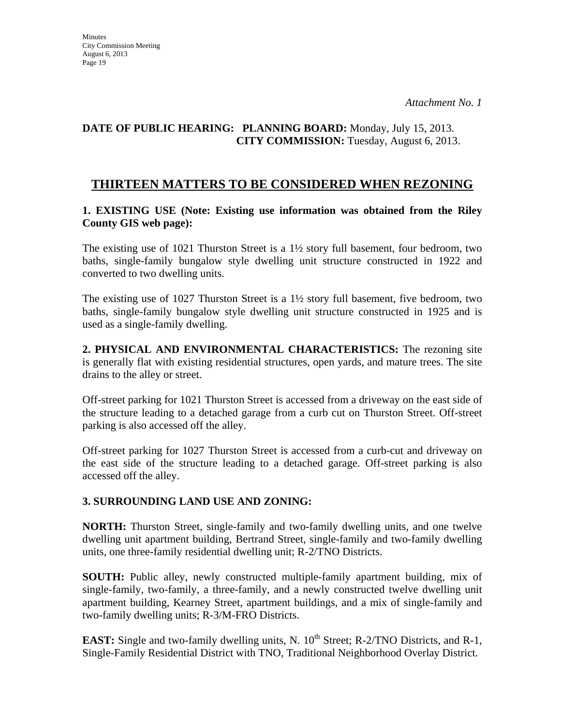### **DATE OF PUBLIC HEARING: PLANNING BOARD:** Monday, July 15, 2013. **CITY COMMISSION:** Tuesday, August 6, 2013.

## **THIRTEEN MATTERS TO BE CONSIDERED WHEN REZONING**

### **1. EXISTING USE (Note: Existing use information was obtained from the Riley County GIS web page):**

The existing use of 1021 Thurston Street is a  $1\frac{1}{2}$  story full basement, four bedroom, two baths, single-family bungalow style dwelling unit structure constructed in 1922 and converted to two dwelling units.

The existing use of 1027 Thurston Street is a  $1\frac{1}{2}$  story full basement, five bedroom, two baths, single-family bungalow style dwelling unit structure constructed in 1925 and is used as a single-family dwelling.

**2. PHYSICAL AND ENVIRONMENTAL CHARACTERISTICS:** The rezoning site is generally flat with existing residential structures, open yards, and mature trees. The site drains to the alley or street.

Off-street parking for 1021 Thurston Street is accessed from a driveway on the east side of the structure leading to a detached garage from a curb cut on Thurston Street. Off-street parking is also accessed off the alley.

Off-street parking for 1027 Thurston Street is accessed from a curb-cut and driveway on the east side of the structure leading to a detached garage. Off-street parking is also accessed off the alley.

### **3. SURROUNDING LAND USE AND ZONING:**

**NORTH:** Thurston Street, single-family and two-family dwelling units, and one twelve dwelling unit apartment building, Bertrand Street, single-family and two-family dwelling units, one three-family residential dwelling unit; R-2/TNO Districts.

**SOUTH:** Public alley, newly constructed multiple-family apartment building, mix of single-family, two-family, a three-family, and a newly constructed twelve dwelling unit apartment building, Kearney Street, apartment buildings, and a mix of single-family and two-family dwelling units; R-3/M-FRO Districts.

**EAST:** Single and two-family dwelling units, N. 10<sup>th</sup> Street; R-2/TNO Districts, and R-1, Single-Family Residential District with TNO, Traditional Neighborhood Overlay District.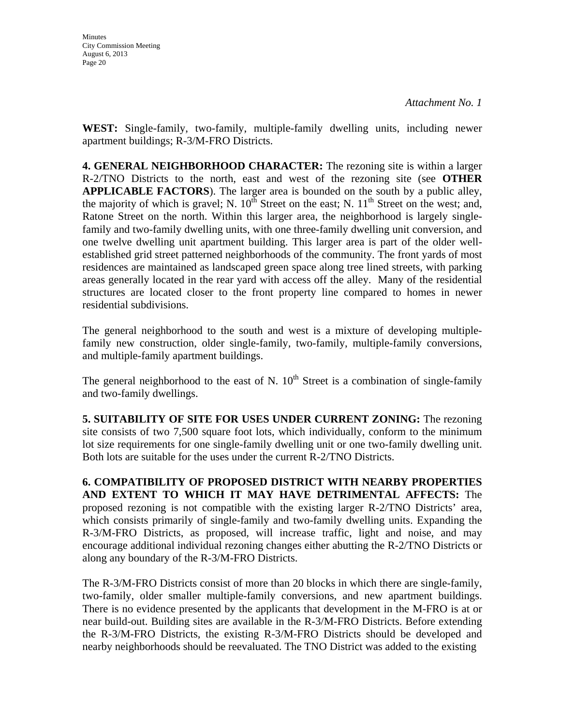**WEST:** Single-family, two-family, multiple-family dwelling units, including newer apartment buildings; R-3/M-FRO Districts.

**4. GENERAL NEIGHBORHOOD CHARACTER:** The rezoning site is within a larger R-2/TNO Districts to the north, east and west of the rezoning site (see **OTHER APPLICABLE FACTORS**). The larger area is bounded on the south by a public alley, the majority of which is gravel; N.  $10^{th}$  Street on the east; N.  $11^{th}$  Street on the west; and, Ratone Street on the north. Within this larger area, the neighborhood is largely singlefamily and two-family dwelling units, with one three-family dwelling unit conversion, and one twelve dwelling unit apartment building. This larger area is part of the older wellestablished grid street patterned neighborhoods of the community. The front yards of most residences are maintained as landscaped green space along tree lined streets, with parking areas generally located in the rear yard with access off the alley. Many of the residential structures are located closer to the front property line compared to homes in newer residential subdivisions.

The general neighborhood to the south and west is a mixture of developing multiplefamily new construction, older single-family, two-family, multiple-family conversions, and multiple-family apartment buildings.

The general neighborhood to the east of N.  $10^{th}$  Street is a combination of single-family and two-family dwellings.

**5. SUITABILITY OF SITE FOR USES UNDER CURRENT ZONING:** The rezoning site consists of two 7,500 square foot lots, which individually, conform to the minimum lot size requirements for one single-family dwelling unit or one two-family dwelling unit. Both lots are suitable for the uses under the current R-2/TNO Districts.

**6. COMPATIBILITY OF PROPOSED DISTRICT WITH NEARBY PROPERTIES AND EXTENT TO WHICH IT MAY HAVE DETRIMENTAL AFFECTS:** The proposed rezoning is not compatible with the existing larger R-2/TNO Districts' area, which consists primarily of single-family and two-family dwelling units. Expanding the R-3/M-FRO Districts, as proposed, will increase traffic, light and noise, and may encourage additional individual rezoning changes either abutting the R-2/TNO Districts or along any boundary of the R-3/M-FRO Districts.

The R-3/M-FRO Districts consist of more than 20 blocks in which there are single-family, two-family, older smaller multiple-family conversions, and new apartment buildings. There is no evidence presented by the applicants that development in the M-FRO is at or near build-out. Building sites are available in the R-3/M-FRO Districts. Before extending the R-3/M-FRO Districts, the existing R-3/M-FRO Districts should be developed and nearby neighborhoods should be reevaluated. The TNO District was added to the existing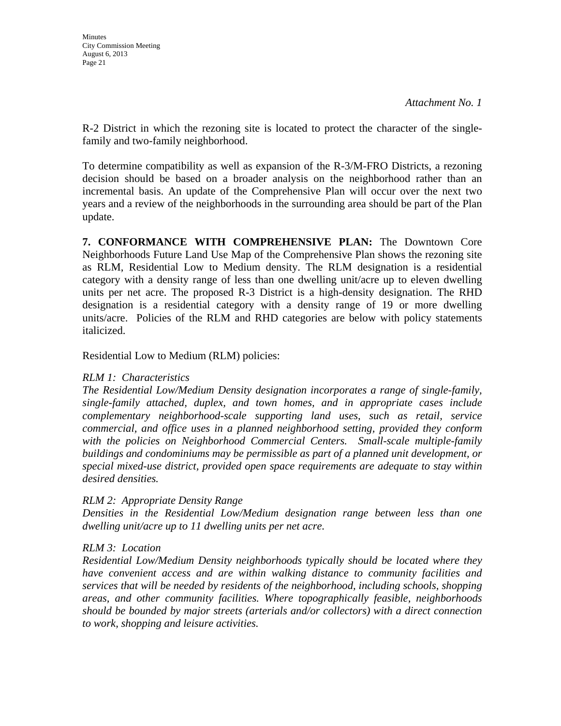R-2 District in which the rezoning site is located to protect the character of the singlefamily and two-family neighborhood.

To determine compatibility as well as expansion of the R-3/M-FRO Districts, a rezoning decision should be based on a broader analysis on the neighborhood rather than an incremental basis. An update of the Comprehensive Plan will occur over the next two years and a review of the neighborhoods in the surrounding area should be part of the Plan update.

**7. CONFORMANCE WITH COMPREHENSIVE PLAN:** The Downtown Core Neighborhoods Future Land Use Map of the Comprehensive Plan shows the rezoning site as RLM, Residential Low to Medium density. The RLM designation is a residential category with a density range of less than one dwelling unit/acre up to eleven dwelling units per net acre. The proposed R-3 District is a high-density designation. The RHD designation is a residential category with a density range of 19 or more dwelling units/acre. Policies of the RLM and RHD categories are below with policy statements italicized.

Residential Low to Medium (RLM) policies:

### *RLM 1: Characteristics*

*The Residential Low/Medium Density designation incorporates a range of single-family, single-family attached, duplex, and town homes, and in appropriate cases include complementary neighborhood-scale supporting land uses, such as retail, service commercial, and office uses in a planned neighborhood setting, provided they conform*  with the policies on Neighborhood Commercial Centers. Small-scale multiple-family *buildings and condominiums may be permissible as part of a planned unit development, or special mixed-use district, provided open space requirements are adequate to stay within desired densities.* 

### *RLM 2: Appropriate Density Range*

*Densities in the Residential Low/Medium designation range between less than one dwelling unit/acre up to 11 dwelling units per net acre.* 

### *RLM 3: Location*

*Residential Low/Medium Density neighborhoods typically should be located where they have convenient access and are within walking distance to community facilities and services that will be needed by residents of the neighborhood, including schools, shopping areas, and other community facilities. Where topographically feasible, neighborhoods should be bounded by major streets (arterials and/or collectors) with a direct connection to work, shopping and leisure activities.*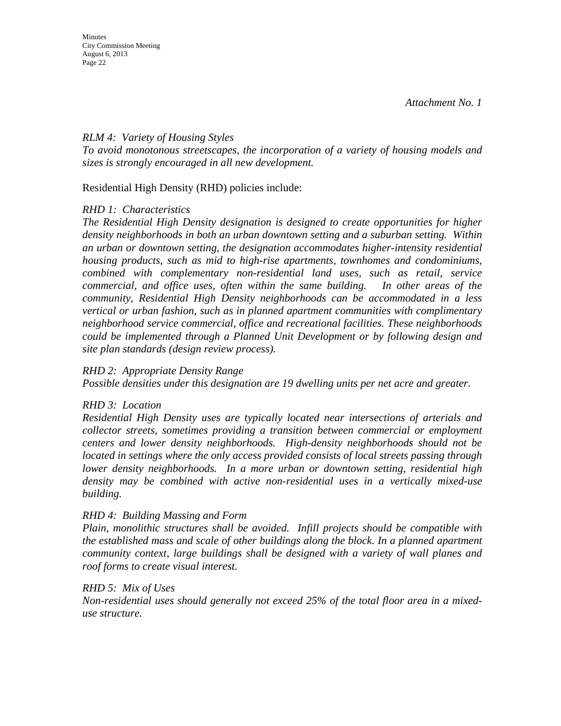### *RLM 4: Variety of Housing Styles*

*To avoid monotonous streetscapes, the incorporation of a variety of housing models and sizes is strongly encouraged in all new development.* 

Residential High Density (RHD) policies include:

### *RHD 1: Characteristics*

*The Residential High Density designation is designed to create opportunities for higher density neighborhoods in both an urban downtown setting and a suburban setting. Within an urban or downtown setting, the designation accommodates higher-intensity residential housing products, such as mid to high-rise apartments, townhomes and condominiums, combined with complementary non-residential land uses, such as retail, service commercial, and office uses, often within the same building. In other areas of the community, Residential High Density neighborhoods can be accommodated in a less vertical or urban fashion, such as in planned apartment communities with complimentary neighborhood service commercial, office and recreational facilities. These neighborhoods could be implemented through a Planned Unit Development or by following design and site plan standards (design review process).* 

#### *RHD 2: Appropriate Density Range*

*Possible densities under this designation are 19 dwelling units per net acre and greater.* 

### *RHD 3: Location*

*Residential High Density uses are typically located near intersections of arterials and collector streets, sometimes providing a transition between commercial or employment centers and lower density neighborhoods. High-density neighborhoods should not be located in settings where the only access provided consists of local streets passing through lower density neighborhoods. In a more urban or downtown setting, residential high density may be combined with active non-residential uses in a vertically mixed-use building.* 

#### *RHD 4: Building Massing and Form*

*Plain, monolithic structures shall be avoided. Infill projects should be compatible with the established mass and scale of other buildings along the block. In a planned apartment community context, large buildings shall be designed with a variety of wall planes and roof forms to create visual interest.* 

#### *RHD 5: Mix of Uses*

*Non-residential uses should generally not exceed 25% of the total floor area in a mixeduse structure.*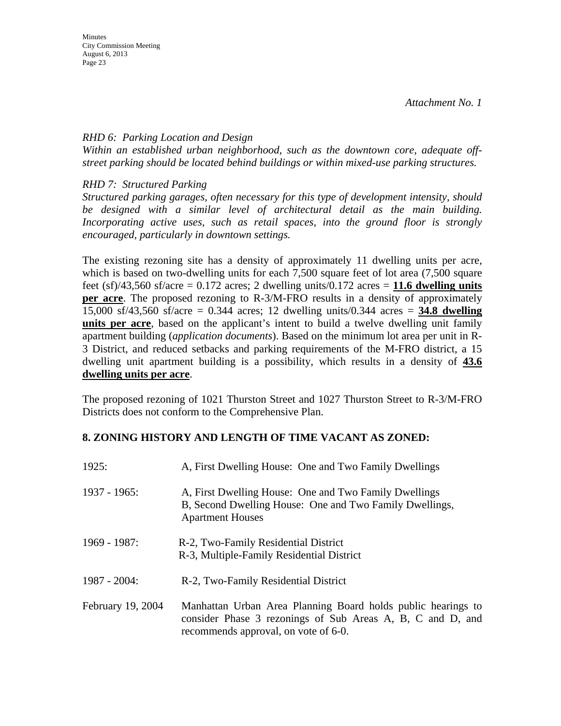### *RHD 6: Parking Location and Design*

*Within an established urban neighborhood, such as the downtown core, adequate offstreet parking should be located behind buildings or within mixed-use parking structures.* 

*RHD 7: Structured Parking* 

*Structured parking garages, often necessary for this type of development intensity, should be designed with a similar level of architectural detail as the main building. Incorporating active uses, such as retail spaces, into the ground floor is strongly encouraged, particularly in downtown settings.* 

The existing rezoning site has a density of approximately 11 dwelling units per acre, which is based on two-dwelling units for each 7,500 square feet of lot area  $(7,500)$  square feet  $(sf)/43,560$  sf/acre = 0.172 acres; 2 dwelling units/0.172 acres = 11.6 dwelling units **per acre**. The proposed rezoning to R-3/M-FRO results in a density of approximately 15,000 sf/43,560 sf/acre = 0.344 acres; 12 dwelling units/0.344 acres = **34.8 dwelling units per acre**, based on the applicant's intent to build a twelve dwelling unit family apartment building (*application documents*). Based on the minimum lot area per unit in R-3 District, and reduced setbacks and parking requirements of the M-FRO district, a 15 dwelling unit apartment building is a possibility, which results in a density of **43.6 dwelling units per acre**.

The proposed rezoning of 1021 Thurston Street and 1027 Thurston Street to R-3/M-FRO Districts does not conform to the Comprehensive Plan.

### **8. ZONING HISTORY AND LENGTH OF TIME VACANT AS ZONED:**

| A, First Dwelling House: One and Two Family Dwellings                                                                                                              |
|--------------------------------------------------------------------------------------------------------------------------------------------------------------------|
| A, First Dwelling House: One and Two Family Dwellings<br>B, Second Dwelling House: One and Two Family Dwellings,<br><b>Apartment Houses</b>                        |
| R-2, Two-Family Residential District<br>R-3, Multiple-Family Residential District                                                                                  |
| R-2, Two-Family Residential District                                                                                                                               |
| Manhattan Urban Area Planning Board holds public hearings to<br>consider Phase 3 rezonings of Sub Areas A, B, C and D, and<br>recommends approval, on vote of 6-0. |
|                                                                                                                                                                    |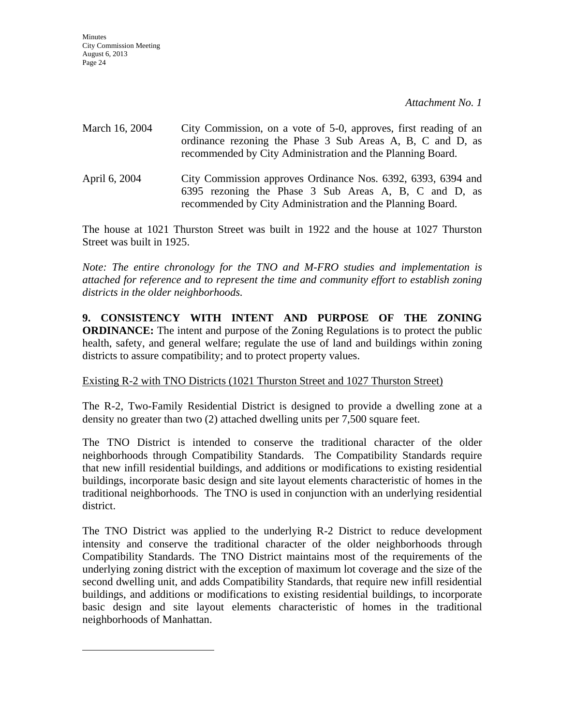| March 16, 2004 | City Commission, on a vote of 5-0, approves, first reading of an<br>ordinance rezoning the Phase 3 Sub Areas A, B, C and D, as<br>recommended by City Administration and the Planning Board. |
|----------------|----------------------------------------------------------------------------------------------------------------------------------------------------------------------------------------------|
| April 6, 2004  | City Commission approves Ordinance Nos. 6392, 6393, 6394 and<br>6395 rezoning the Phase 3 Sub Areas A, B, C and D, as<br>recommended by City Administration and the Planning Board.          |

The house at 1021 Thurston Street was built in 1922 and the house at 1027 Thurston Street was built in 1925.

*Note: The entire chronology for the TNO and M-FRO studies and implementation is attached for reference and to represent the time and community effort to establish zoning districts in the older neighborhoods.* 

**9. CONSISTENCY WITH INTENT AND PURPOSE OF THE ZONING ORDINANCE:** The intent and purpose of the Zoning Regulations is to protect the public health, safety, and general welfare; regulate the use of land and buildings within zoning districts to assure compatibility; and to protect property values.

### Existing R-2 with TNO Districts (1021 Thurston Street and 1027 Thurston Street)

The R-2, Two-Family Residential District is designed to provide a dwelling zone at a density no greater than two (2) attached dwelling units per 7,500 square feet.

The TNO District is intended to conserve the traditional character of the older neighborhoods through Compatibility Standards. The Compatibility Standards require that new infill residential buildings, and additions or modifications to existing residential buildings, incorporate basic design and site layout elements characteristic of homes in the traditional neighborhoods. The TNO is used in conjunction with an underlying residential district.

The TNO District was applied to the underlying R-2 District to reduce development intensity and conserve the traditional character of the older neighborhoods through Compatibility Standards. The TNO District maintains most of the requirements of the underlying zoning district with the exception of maximum lot coverage and the size of the second dwelling unit, and adds Compatibility Standards, that require new infill residential buildings, and additions or modifications to existing residential buildings, to incorporate basic design and site layout elements characteristic of homes in the traditional neighborhoods of Manhattan.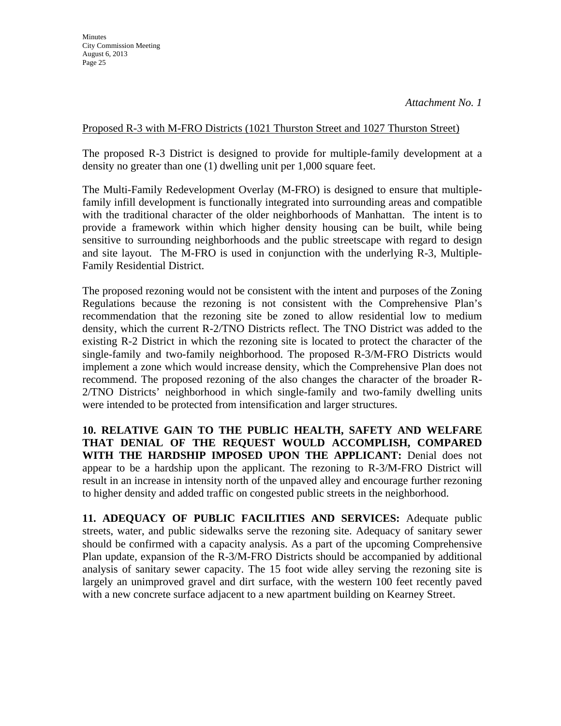### Proposed R-3 with M-FRO Districts (1021 Thurston Street and 1027 Thurston Street)

The proposed R-3 District is designed to provide for multiple-family development at a density no greater than one (1) dwelling unit per 1,000 square feet.

The Multi-Family Redevelopment Overlay (M-FRO) is designed to ensure that multiplefamily infill development is functionally integrated into surrounding areas and compatible with the traditional character of the older neighborhoods of Manhattan. The intent is to provide a framework within which higher density housing can be built, while being sensitive to surrounding neighborhoods and the public streetscape with regard to design and site layout. The M-FRO is used in conjunction with the underlying R-3, Multiple-Family Residential District.

The proposed rezoning would not be consistent with the intent and purposes of the Zoning Regulations because the rezoning is not consistent with the Comprehensive Plan's recommendation that the rezoning site be zoned to allow residential low to medium density, which the current R-2/TNO Districts reflect. The TNO District was added to the existing R-2 District in which the rezoning site is located to protect the character of the single-family and two-family neighborhood. The proposed R-3/M-FRO Districts would implement a zone which would increase density, which the Comprehensive Plan does not recommend. The proposed rezoning of the also changes the character of the broader R-2/TNO Districts' neighborhood in which single-family and two-family dwelling units were intended to be protected from intensification and larger structures.

 **10. RELATIVE GAIN TO THE PUBLIC HEALTH, SAFETY AND WELFARE THAT DENIAL OF THE REQUEST WOULD ACCOMPLISH, COMPARED WITH THE HARDSHIP IMPOSED UPON THE APPLICANT:** Denial does not appear to be a hardship upon the applicant. The rezoning to R-3/M-FRO District will result in an increase in intensity north of the unpaved alley and encourage further rezoning to higher density and added traffic on congested public streets in the neighborhood.

**11. ADEQUACY OF PUBLIC FACILITIES AND SERVICES:** Adequate public streets, water, and public sidewalks serve the rezoning site. Adequacy of sanitary sewer should be confirmed with a capacity analysis. As a part of the upcoming Comprehensive Plan update, expansion of the R-3/M-FRO Districts should be accompanied by additional analysis of sanitary sewer capacity. The 15 foot wide alley serving the rezoning site is largely an unimproved gravel and dirt surface, with the western 100 feet recently paved with a new concrete surface adjacent to a new apartment building on Kearney Street.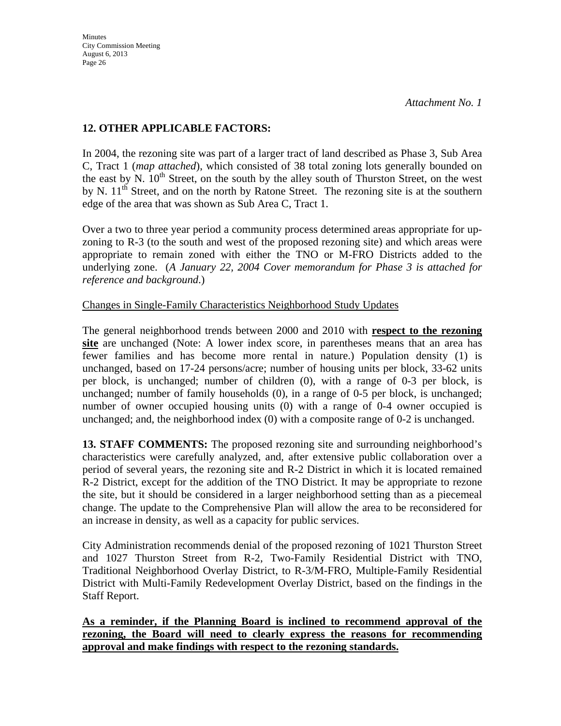### **12. OTHER APPLICABLE FACTORS:**

 In 2004, the rezoning site was part of a larger tract of land described as Phase 3, Sub Area C, Tract 1 (*map attached*), which consisted of 38 total zoning lots generally bounded on the east by N.  $10<sup>th</sup>$  Street, on the south by the alley south of Thurston Street, on the west by N.  $11<sup>th</sup>$  Street, and on the north by Ratone Street. The rezoning site is at the southern edge of the area that was shown as Sub Area C, Tract 1.

 Over a two to three year period a community process determined areas appropriate for upzoning to R-3 (to the south and west of the proposed rezoning site) and which areas were appropriate to remain zoned with either the TNO or M-FRO Districts added to the underlying zone. (*A January 22, 2004 Cover memorandum for Phase 3 is attached for reference and background*.)

Changes in Single-Family Characteristics Neighborhood Study Updates

 The general neighborhood trends between 2000 and 2010 with **respect to the rezoning site** are unchanged (Note: A lower index score, in parentheses means that an area has fewer families and has become more rental in nature.) Population density (1) is unchanged, based on 17-24 persons/acre; number of housing units per block, 33-62 units per block, is unchanged; number of children (0), with a range of 0-3 per block, is unchanged; number of family households (0), in a range of 0-5 per block, is unchanged; number of owner occupied housing units (0) with a range of 0-4 owner occupied is unchanged; and, the neighborhood index (0) with a composite range of 0-2 is unchanged.

**13. STAFF COMMENTS:** The proposed rezoning site and surrounding neighborhood's characteristics were carefully analyzed, and, after extensive public collaboration over a period of several years, the rezoning site and R-2 District in which it is located remained R-2 District, except for the addition of the TNO District. It may be appropriate to rezone the site, but it should be considered in a larger neighborhood setting than as a piecemeal change. The update to the Comprehensive Plan will allow the area to be reconsidered for an increase in density, as well as a capacity for public services.

City Administration recommends denial of the proposed rezoning of 1021 Thurston Street and 1027 Thurston Street from R-2, Two-Family Residential District with TNO, Traditional Neighborhood Overlay District, to R-3/M-FRO, Multiple-Family Residential District with Multi-Family Redevelopment Overlay District, based on the findings in the Staff Report.

**As a reminder, if the Planning Board is inclined to recommend approval of the rezoning, the Board will need to clearly express the reasons for recommending approval and make findings with respect to the rezoning standards.**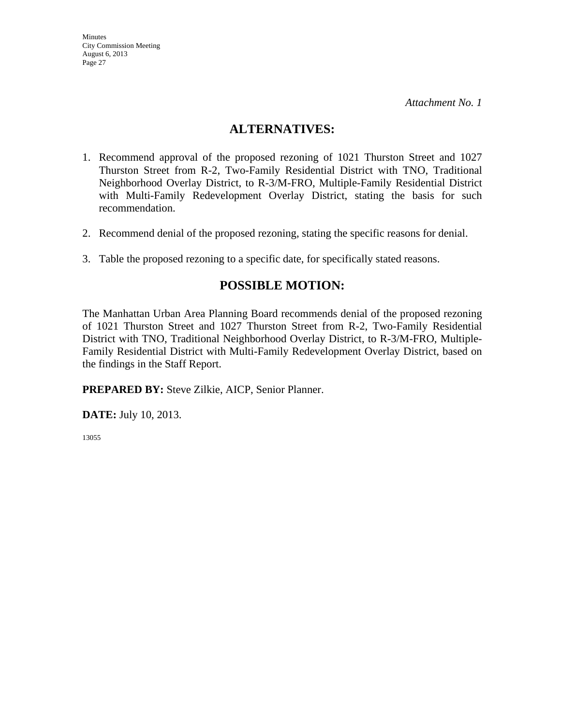### **ALTERNATIVES:**

- 1. Recommend approval of the proposed rezoning of 1021 Thurston Street and 1027 Thurston Street from R-2, Two-Family Residential District with TNO, Traditional Neighborhood Overlay District, to R-3/M-FRO, Multiple-Family Residential District with Multi-Family Redevelopment Overlay District, stating the basis for such recommendation.
- 2. Recommend denial of the proposed rezoning, stating the specific reasons for denial.
- 3. Table the proposed rezoning to a specific date, for specifically stated reasons.

### **POSSIBLE MOTION:**

The Manhattan Urban Area Planning Board recommends denial of the proposed rezoning of 1021 Thurston Street and 1027 Thurston Street from R-2, Two-Family Residential District with TNO, Traditional Neighborhood Overlay District, to R-3/M-FRO, Multiple-Family Residential District with Multi-Family Redevelopment Overlay District, based on the findings in the Staff Report.

**PREPARED BY:** Steve Zilkie, AICP, Senior Planner.

**DATE:** July 10, 2013.

13055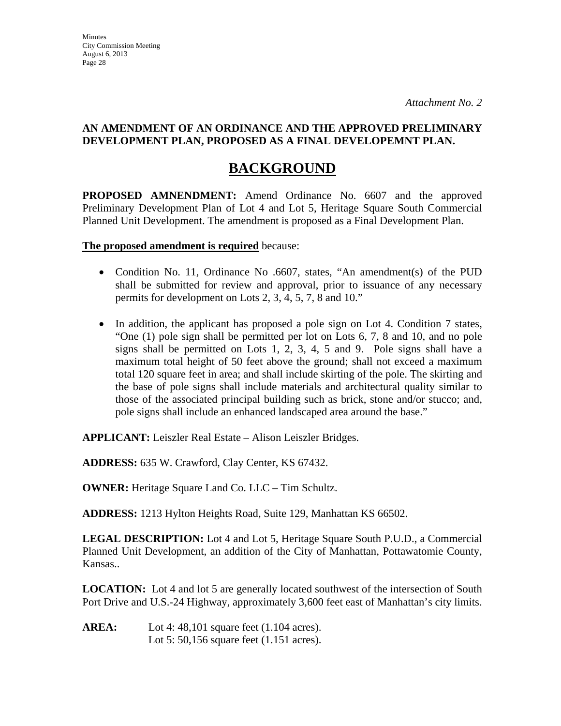## **BACKGROUND**

**PROPOSED AMNENDMENT:** Amend Ordinance No. 6607 and the approved Preliminary Development Plan of Lot 4 and Lot 5, Heritage Square South Commercial Planned Unit Development. The amendment is proposed as a Final Development Plan.

**The proposed amendment is required** because:

- Condition No. 11, Ordinance No .6607, states, "An amendment(s) of the PUD shall be submitted for review and approval, prior to issuance of any necessary permits for development on Lots 2, 3, 4, 5, 7, 8 and 10."
- In addition, the applicant has proposed a pole sign on Lot 4. Condition 7 states, "One (1) pole sign shall be permitted per lot on Lots 6, 7, 8 and 10, and no pole signs shall be permitted on Lots 1, 2, 3, 4, 5 and 9. Pole signs shall have a maximum total height of 50 feet above the ground; shall not exceed a maximum total 120 square feet in area; and shall include skirting of the pole. The skirting and the base of pole signs shall include materials and architectural quality similar to those of the associated principal building such as brick, stone and/or stucco; and, pole signs shall include an enhanced landscaped area around the base."

**APPLICANT:** Leiszler Real Estate – Alison Leiszler Bridges.

**ADDRESS:** 635 W. Crawford, Clay Center, KS 67432.

**OWNER:** Heritage Square Land Co. LLC – Tim Schultz.

**ADDRESS:** 1213 Hylton Heights Road, Suite 129, Manhattan KS 66502.

**LEGAL DESCRIPTION:** Lot 4 and Lot 5, Heritage Square South P.U.D., a Commercial Planned Unit Development, an addition of the City of Manhattan, Pottawatomie County, Kansas..

**LOCATION:** Lot 4 and lot 5 are generally located southwest of the intersection of South Port Drive and U.S.-24 Highway, approximately 3,600 feet east of Manhattan's city limits.

**AREA:** Lot 4: 48,101 square feet (1.104 acres). Lot 5: 50,156 square feet (1.151 acres).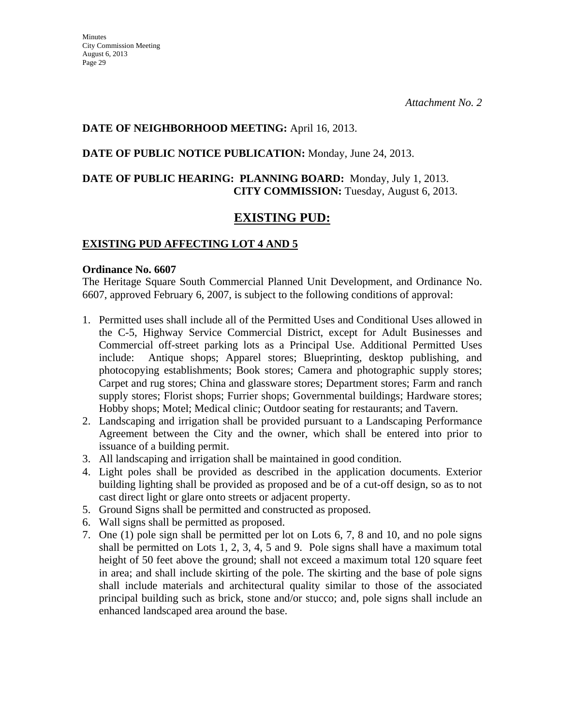### **DATE OF NEIGHBORHOOD MEETING:** April 16, 2013.

### **DATE OF PUBLIC NOTICE PUBLICATION:** Monday, June 24, 2013.

### **DATE OF PUBLIC HEARING: PLANNING BOARD:** Monday, July 1, 2013. **CITY COMMISSION:** Tuesday, August 6, 2013.

### **EXISTING PUD:**

### **EXISTING PUD AFFECTING LOT 4 AND 5**

#### **Ordinance No. 6607**

The Heritage Square South Commercial Planned Unit Development, and Ordinance No. 6607, approved February 6, 2007, is subject to the following conditions of approval:

- 1. Permitted uses shall include all of the Permitted Uses and Conditional Uses allowed in the C-5, Highway Service Commercial District, except for Adult Businesses and Commercial off-street parking lots as a Principal Use. Additional Permitted Uses include: Antique shops; Apparel stores; Blueprinting, desktop publishing, and photocopying establishments; Book stores; Camera and photographic supply stores; Carpet and rug stores; China and glassware stores; Department stores; Farm and ranch supply stores; Florist shops; Furrier shops; Governmental buildings; Hardware stores; Hobby shops; Motel; Medical clinic; Outdoor seating for restaurants; and Tavern.
- 2. Landscaping and irrigation shall be provided pursuant to a Landscaping Performance Agreement between the City and the owner, which shall be entered into prior to issuance of a building permit.
- 3. All landscaping and irrigation shall be maintained in good condition.
- 4. Light poles shall be provided as described in the application documents. Exterior building lighting shall be provided as proposed and be of a cut-off design, so as to not cast direct light or glare onto streets or adjacent property.
- 5. Ground Signs shall be permitted and constructed as proposed.
- 6. Wall signs shall be permitted as proposed.
- 7. One (1) pole sign shall be permitted per lot on Lots 6, 7, 8 and 10, and no pole signs shall be permitted on Lots 1, 2, 3, 4, 5 and 9. Pole signs shall have a maximum total height of 50 feet above the ground; shall not exceed a maximum total 120 square feet in area; and shall include skirting of the pole. The skirting and the base of pole signs shall include materials and architectural quality similar to those of the associated principal building such as brick, stone and/or stucco; and, pole signs shall include an enhanced landscaped area around the base.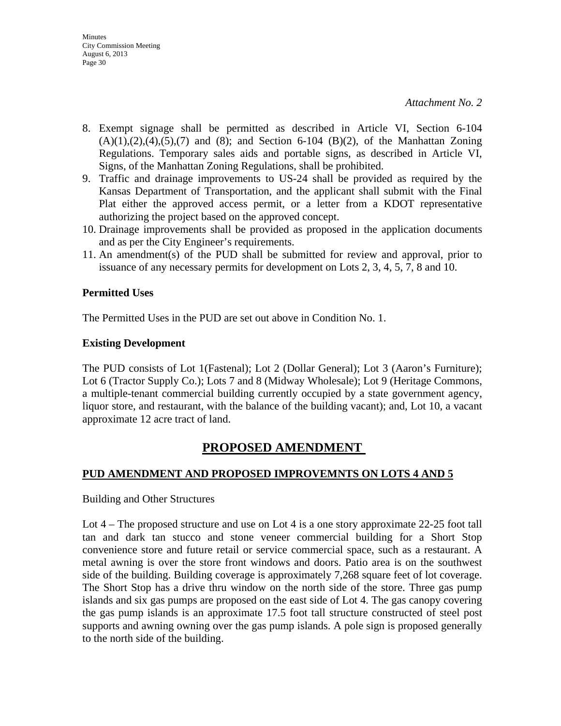- 8. Exempt signage shall be permitted as described in Article VI, Section 6-104  $(A)(1),(2),(4),(5),(7)$  and  $(8)$ ; and Section 6-104  $(B)(2)$ , of the Manhattan Zoning Regulations. Temporary sales aids and portable signs, as described in Article VI, Signs, of the Manhattan Zoning Regulations, shall be prohibited.
- 9. Traffic and drainage improvements to US-24 shall be provided as required by the Kansas Department of Transportation, and the applicant shall submit with the Final Plat either the approved access permit, or a letter from a KDOT representative authorizing the project based on the approved concept.
- 10. Drainage improvements shall be provided as proposed in the application documents and as per the City Engineer's requirements.
- 11. An amendment(s) of the PUD shall be submitted for review and approval, prior to issuance of any necessary permits for development on Lots 2, 3, 4, 5, 7, 8 and 10.

### **Permitted Uses**

The Permitted Uses in the PUD are set out above in Condition No. 1.

### **Existing Development**

The PUD consists of Lot 1(Fastenal); Lot 2 (Dollar General); Lot 3 (Aaron's Furniture); Lot 6 (Tractor Supply Co.); Lots 7 and 8 (Midway Wholesale); Lot 9 (Heritage Commons, a multiple-tenant commercial building currently occupied by a state government agency, liquor store, and restaurant, with the balance of the building vacant); and, Lot 10, a vacant approximate 12 acre tract of land.

### **PROPOSED AMENDMENT**

### **PUD AMENDMENT AND PROPOSED IMPROVEMNTS ON LOTS 4 AND 5**

Building and Other Structures

Lot 4 – The proposed structure and use on Lot 4 is a one story approximate 22-25 foot tall tan and dark tan stucco and stone veneer commercial building for a Short Stop convenience store and future retail or service commercial space, such as a restaurant. A metal awning is over the store front windows and doors. Patio area is on the southwest side of the building. Building coverage is approximately 7,268 square feet of lot coverage. The Short Stop has a drive thru window on the north side of the store. Three gas pump islands and six gas pumps are proposed on the east side of Lot 4. The gas canopy covering the gas pump islands is an approximate 17.5 foot tall structure constructed of steel post supports and awning owning over the gas pump islands. A pole sign is proposed generally to the north side of the building.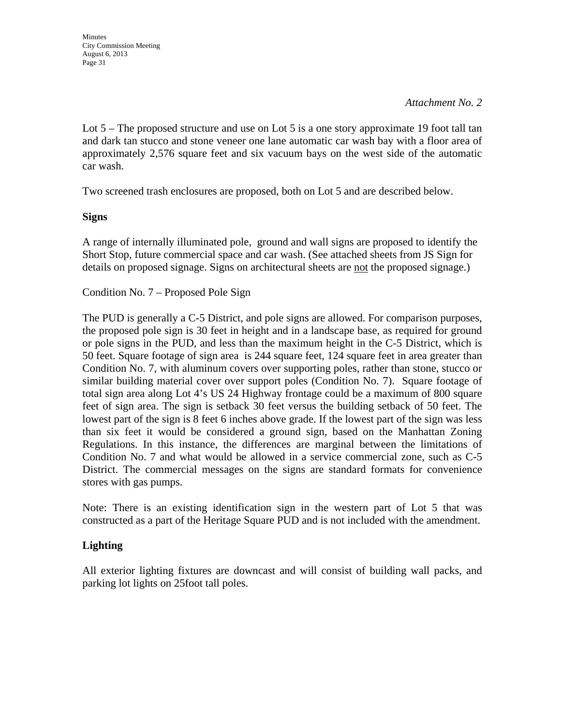Lot 5 – The proposed structure and use on Lot 5 is a one story approximate 19 foot tall tan and dark tan stucco and stone veneer one lane automatic car wash bay with a floor area of approximately 2,576 square feet and six vacuum bays on the west side of the automatic car wash.

Two screened trash enclosures are proposed, both on Lot 5 and are described below.

### **Signs**

A range of internally illuminated pole, ground and wall signs are proposed to identify the Short Stop, future commercial space and car wash. (See attached sheets from JS Sign for details on proposed signage. Signs on architectural sheets are not the proposed signage.)

Condition No. 7 – Proposed Pole Sign

The PUD is generally a C-5 District, and pole signs are allowed. For comparison purposes, the proposed pole sign is 30 feet in height and in a landscape base, as required for ground or pole signs in the PUD, and less than the maximum height in the C-5 District, which is 50 feet. Square footage of sign area is 244 square feet, 124 square feet in area greater than Condition No. 7, with aluminum covers over supporting poles, rather than stone, stucco or similar building material cover over support poles (Condition No. 7). Square footage of total sign area along Lot 4's US 24 Highway frontage could be a maximum of 800 square feet of sign area. The sign is setback 30 feet versus the building setback of 50 feet. The lowest part of the sign is 8 feet 6 inches above grade. If the lowest part of the sign was less than six feet it would be considered a ground sign, based on the Manhattan Zoning Regulations. In this instance, the differences are marginal between the limitations of Condition No. 7 and what would be allowed in a service commercial zone, such as C-5 District. The commercial messages on the signs are standard formats for convenience stores with gas pumps.

Note: There is an existing identification sign in the western part of Lot 5 that was constructed as a part of the Heritage Square PUD and is not included with the amendment.

### **Lighting**

All exterior lighting fixtures are downcast and will consist of building wall packs, and parking lot lights on 25foot tall poles.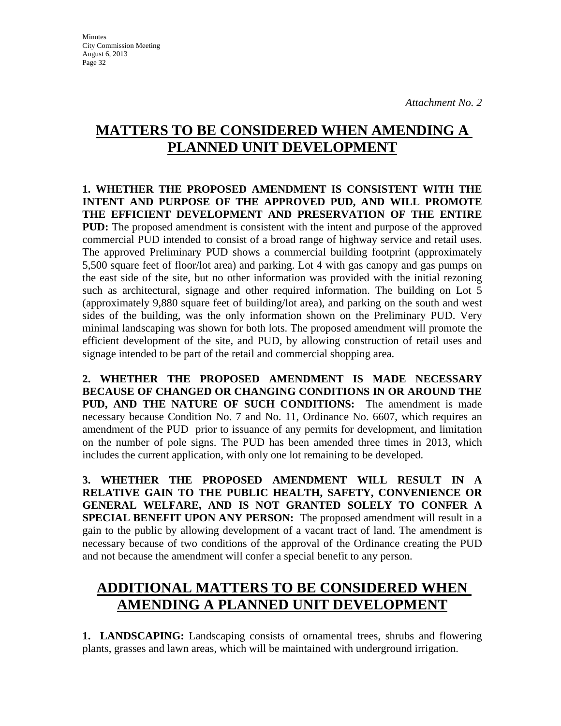Minutes City Commission Meeting August 6, 2013 Page 32

# **MATTERS TO BE CONSIDERED WHEN AMENDING A PLANNED UNIT DEVELOPMENT**

**1. WHETHER THE PROPOSED AMENDMENT IS CONSISTENT WITH THE INTENT AND PURPOSE OF THE APPROVED PUD, AND WILL PROMOTE THE EFFICIENT DEVELOPMENT AND PRESERVATION OF THE ENTIRE PUD:** The proposed amendment is consistent with the intent and purpose of the approved commercial PUD intended to consist of a broad range of highway service and retail uses. The approved Preliminary PUD shows a commercial building footprint (approximately 5,500 square feet of floor/lot area) and parking. Lot 4 with gas canopy and gas pumps on the east side of the site, but no other information was provided with the initial rezoning such as architectural, signage and other required information. The building on Lot 5 (approximately 9,880 square feet of building/lot area), and parking on the south and west sides of the building, was the only information shown on the Preliminary PUD. Very minimal landscaping was shown for both lots. The proposed amendment will promote the efficient development of the site, and PUD, by allowing construction of retail uses and signage intended to be part of the retail and commercial shopping area.

**2. WHETHER THE PROPOSED AMENDMENT IS MADE NECESSARY BECAUSE OF CHANGED OR CHANGING CONDITIONS IN OR AROUND THE PUD, AND THE NATURE OF SUCH CONDITIONS:** The amendment is made necessary because Condition No. 7 and No. 11, Ordinance No. 6607, which requires an amendment of the PUD prior to issuance of any permits for development, and limitation on the number of pole signs. The PUD has been amended three times in 2013, which includes the current application, with only one lot remaining to be developed.

**3. WHETHER THE PROPOSED AMENDMENT WILL RESULT IN A RELATIVE GAIN TO THE PUBLIC HEALTH, SAFETY, CONVENIENCE OR GENERAL WELFARE, AND IS NOT GRANTED SOLELY TO CONFER A SPECIAL BENEFIT UPON ANY PERSON:** The proposed amendment will result in a gain to the public by allowing development of a vacant tract of land. The amendment is necessary because of two conditions of the approval of the Ordinance creating the PUD and not because the amendment will confer a special benefit to any person.

# **ADDITIONAL MATTERS TO BE CONSIDERED WHEN AMENDING A PLANNED UNIT DEVELOPMENT**

**1. LANDSCAPING:** Landscaping consists of ornamental trees, shrubs and flowering plants, grasses and lawn areas, which will be maintained with underground irrigation.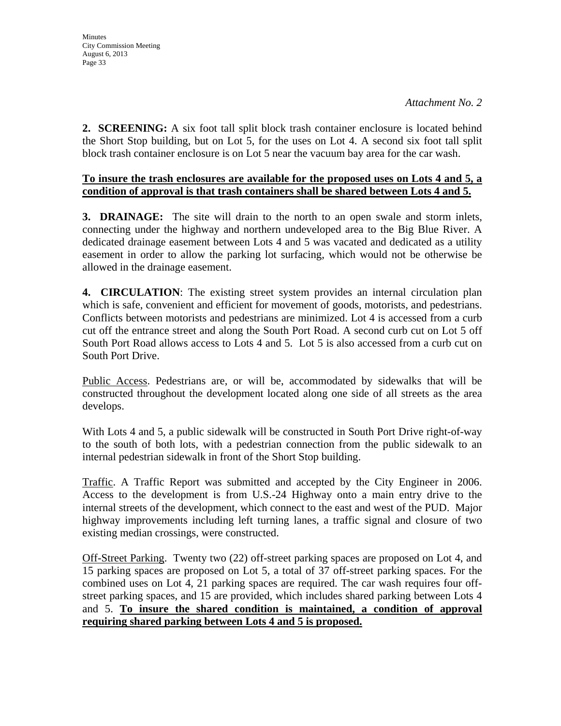**2. SCREENING:** A six foot tall split block trash container enclosure is located behind the Short Stop building, but on Lot 5, for the uses on Lot 4. A second six foot tall split block trash container enclosure is on Lot 5 near the vacuum bay area for the car wash.

### **To insure the trash enclosures are available for the proposed uses on Lots 4 and 5, a condition of approval is that trash containers shall be shared between Lots 4 and 5.**

**3. DRAINAGE:** The site will drain to the north to an open swale and storm inlets, connecting under the highway and northern undeveloped area to the Big Blue River. A dedicated drainage easement between Lots 4 and 5 was vacated and dedicated as a utility easement in order to allow the parking lot surfacing, which would not be otherwise be allowed in the drainage easement.

**4. CIRCULATION**: The existing street system provides an internal circulation plan which is safe, convenient and efficient for movement of goods, motorists, and pedestrians. Conflicts between motorists and pedestrians are minimized. Lot 4 is accessed from a curb cut off the entrance street and along the South Port Road. A second curb cut on Lot 5 off South Port Road allows access to Lots 4 and 5. Lot 5 is also accessed from a curb cut on South Port Drive.

Public Access. Pedestrians are, or will be, accommodated by sidewalks that will be constructed throughout the development located along one side of all streets as the area develops.

With Lots 4 and 5, a public sidewalk will be constructed in South Port Drive right-of-way to the south of both lots, with a pedestrian connection from the public sidewalk to an internal pedestrian sidewalk in front of the Short Stop building.

Traffic. A Traffic Report was submitted and accepted by the City Engineer in 2006. Access to the development is from U.S.-24 Highway onto a main entry drive to the internal streets of the development, which connect to the east and west of the PUD. Major highway improvements including left turning lanes, a traffic signal and closure of two existing median crossings, were constructed.

Off-Street Parking. Twenty two (22) off-street parking spaces are proposed on Lot 4, and 15 parking spaces are proposed on Lot 5, a total of 37 off-street parking spaces. For the combined uses on Lot 4, 21 parking spaces are required. The car wash requires four offstreet parking spaces, and 15 are provided, which includes shared parking between Lots 4 and 5. **To insure the shared condition is maintained, a condition of approval requiring shared parking between Lots 4 and 5 is proposed.**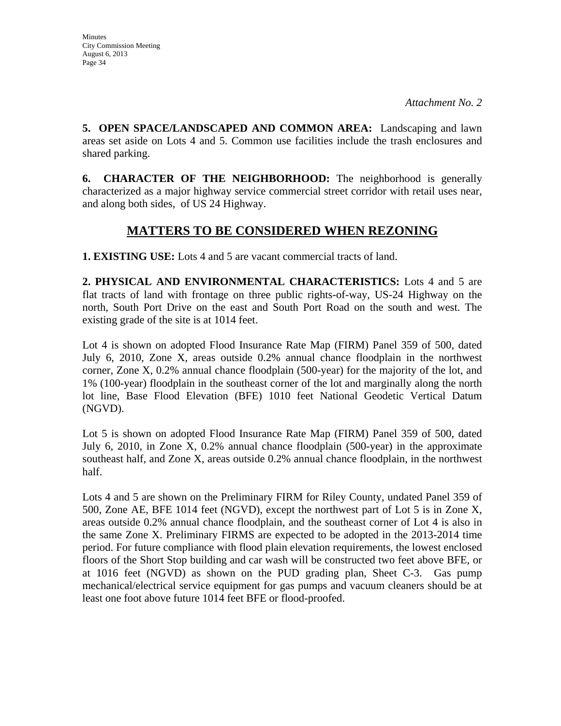**5. OPEN SPACE/LANDSCAPED AND COMMON AREA:** Landscaping and lawn areas set aside on Lots 4 and 5. Common use facilities include the trash enclosures and shared parking.

**6. CHARACTER OF THE NEIGHBORHOOD:** The neighborhood is generally characterized as a major highway service commercial street corridor with retail uses near, and along both sides, of US 24 Highway.

### **MATTERS TO BE CONSIDERED WHEN REZONING**

**1. EXISTING USE:** Lots 4 and 5 are vacant commercial tracts of land.

**2. PHYSICAL AND ENVIRONMENTAL CHARACTERISTICS:** Lots 4 and 5 are flat tracts of land with frontage on three public rights-of-way, US-24 Highway on the north, South Port Drive on the east and South Port Road on the south and west. The existing grade of the site is at 1014 feet.

Lot 4 is shown on adopted Flood Insurance Rate Map (FIRM) Panel 359 of 500, dated July 6, 2010, Zone X, areas outside 0.2% annual chance floodplain in the northwest corner, Zone X, 0.2% annual chance floodplain (500-year) for the majority of the lot, and 1% (100-year) floodplain in the southeast corner of the lot and marginally along the north lot line, Base Flood Elevation (BFE) 1010 feet National Geodetic Vertical Datum (NGVD).

Lot 5 is shown on adopted Flood Insurance Rate Map (FIRM) Panel 359 of 500, dated July 6, 2010, in Zone X, 0.2% annual chance floodplain (500-year) in the approximate southeast half, and Zone X, areas outside 0.2% annual chance floodplain, in the northwest half.

Lots 4 and 5 are shown on the Preliminary FIRM for Riley County, undated Panel 359 of 500, Zone AE, BFE 1014 feet (NGVD), except the northwest part of Lot 5 is in Zone X, areas outside 0.2% annual chance floodplain, and the southeast corner of Lot 4 is also in the same Zone X. Preliminary FIRMS are expected to be adopted in the 2013-2014 time period. For future compliance with flood plain elevation requirements, the lowest enclosed floors of the Short Stop building and car wash will be constructed two feet above BFE, or at 1016 feet (NGVD) as shown on the PUD grading plan, Sheet C-3. Gas pump mechanical/electrical service equipment for gas pumps and vacuum cleaners should be at least one foot above future 1014 feet BFE or flood-proofed.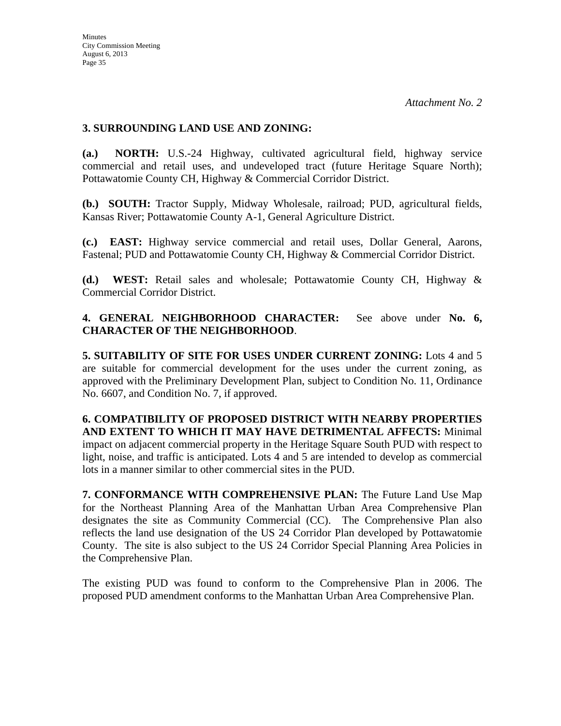### **3. SURROUNDING LAND USE AND ZONING:**

**(a.) NORTH:** U.S.-24 Highway, cultivated agricultural field, highway service commercial and retail uses, and undeveloped tract (future Heritage Square North); Pottawatomie County CH, Highway & Commercial Corridor District.

**(b.) SOUTH:** Tractor Supply, Midway Wholesale, railroad; PUD, agricultural fields, Kansas River; Pottawatomie County A-1, General Agriculture District.

**(c.) EAST:** Highway service commercial and retail uses, Dollar General, Aarons, Fastenal; PUD and Pottawatomie County CH, Highway & Commercial Corridor District.

**(d.) WEST:** Retail sales and wholesale; Pottawatomie County CH, Highway & Commercial Corridor District.

**4. GENERAL NEIGHBORHOOD CHARACTER:** See above under **No. 6, CHARACTER OF THE NEIGHBORHOOD**.

**5. SUITABILITY OF SITE FOR USES UNDER CURRENT ZONING:** Lots 4 and 5 are suitable for commercial development for the uses under the current zoning, as approved with the Preliminary Development Plan, subject to Condition No. 11, Ordinance No. 6607, and Condition No. 7, if approved.

**6. COMPATIBILITY OF PROPOSED DISTRICT WITH NEARBY PROPERTIES AND EXTENT TO WHICH IT MAY HAVE DETRIMENTAL AFFECTS:** Minimal impact on adjacent commercial property in the Heritage Square South PUD with respect to light, noise, and traffic is anticipated. Lots 4 and 5 are intended to develop as commercial lots in a manner similar to other commercial sites in the PUD.

**7. CONFORMANCE WITH COMPREHENSIVE PLAN:** The Future Land Use Map for the Northeast Planning Area of the Manhattan Urban Area Comprehensive Plan designates the site as Community Commercial (CC). The Comprehensive Plan also reflects the land use designation of the US 24 Corridor Plan developed by Pottawatomie County. The site is also subject to the US 24 Corridor Special Planning Area Policies in the Comprehensive Plan.

The existing PUD was found to conform to the Comprehensive Plan in 2006. The proposed PUD amendment conforms to the Manhattan Urban Area Comprehensive Plan.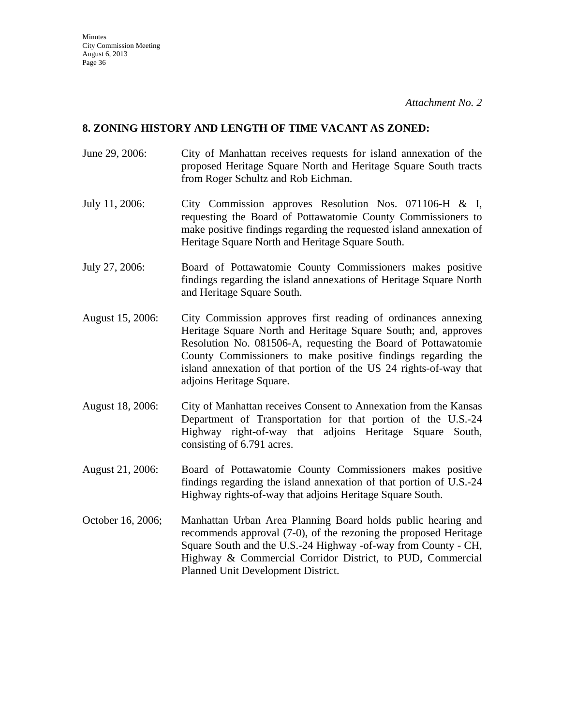#### **8. ZONING HISTORY AND LENGTH OF TIME VACANT AS ZONED:**

- June 29, 2006: City of Manhattan receives requests for island annexation of the proposed Heritage Square North and Heritage Square South tracts from Roger Schultz and Rob Eichman.
- July 11, 2006: City Commission approves Resolution Nos. 071106-H & I, requesting the Board of Pottawatomie County Commissioners to make positive findings regarding the requested island annexation of Heritage Square North and Heritage Square South.
- July 27, 2006: Board of Pottawatomie County Commissioners makes positive findings regarding the island annexations of Heritage Square North and Heritage Square South.
- August 15, 2006: City Commission approves first reading of ordinances annexing Heritage Square North and Heritage Square South; and, approves Resolution No. 081506-A, requesting the Board of Pottawatomie County Commissioners to make positive findings regarding the island annexation of that portion of the US 24 rights-of-way that adjoins Heritage Square.
- August 18, 2006: City of Manhattan receives Consent to Annexation from the Kansas Department of Transportation for that portion of the U.S.-24 Highway right-of-way that adjoins Heritage Square South, consisting of 6.791 acres.
- August 21, 2006: Board of Pottawatomie County Commissioners makes positive findings regarding the island annexation of that portion of U.S.-24 Highway rights-of-way that adjoins Heritage Square South.
- October 16, 2006; Manhattan Urban Area Planning Board holds public hearing and recommends approval (7-0), of the rezoning the proposed Heritage Square South and the U.S.-24 Highway -of-way from County - CH, Highway & Commercial Corridor District, to PUD, Commercial Planned Unit Development District.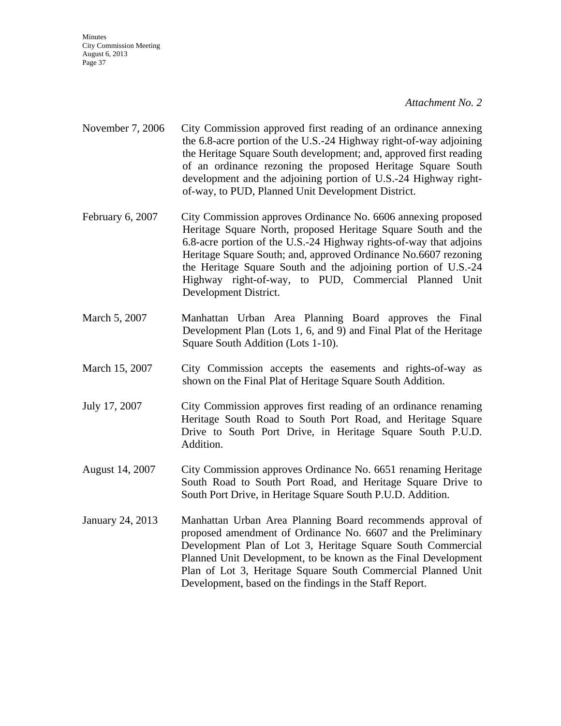**Minutes** City Commission Meeting August 6, 2013 Page 37

#### *Attachment No. 2*

- November 7, 2006 City Commission approved first reading of an ordinance annexing the 6.8-acre portion of the U.S.-24 Highway right-of-way adjoining the Heritage Square South development; and, approved first reading of an ordinance rezoning the proposed Heritage Square South development and the adjoining portion of U.S.-24 Highway rightof-way, to PUD, Planned Unit Development District.
- February 6, 2007 City Commission approves Ordinance No. 6606 annexing proposed Heritage Square North, proposed Heritage Square South and the 6.8-acre portion of the U.S.-24 Highway rights-of-way that adjoins Heritage Square South; and, approved Ordinance No.6607 rezoning the Heritage Square South and the adjoining portion of U.S.-24 Highway right-of-way, to PUD, Commercial Planned Unit Development District.
- March 5, 2007 Manhattan Urban Area Planning Board approves the Final Development Plan (Lots 1, 6, and 9) and Final Plat of the Heritage Square South Addition (Lots 1-10).
- March 15, 2007 City Commission accepts the easements and rights-of-way as shown on the Final Plat of Heritage Square South Addition.
- July 17, 2007 City Commission approves first reading of an ordinance renaming Heritage South Road to South Port Road, and Heritage Square Drive to South Port Drive, in Heritage Square South P.U.D. Addition.
- August 14, 2007 City Commission approves Ordinance No. 6651 renaming Heritage South Road to South Port Road, and Heritage Square Drive to South Port Drive, in Heritage Square South P.U.D. Addition.
- January 24, 2013 Manhattan Urban Area Planning Board recommends approval of proposed amendment of Ordinance No. 6607 and the Preliminary Development Plan of Lot 3, Heritage Square South Commercial Planned Unit Development, to be known as the Final Development Plan of Lot 3, Heritage Square South Commercial Planned Unit Development, based on the findings in the Staff Report.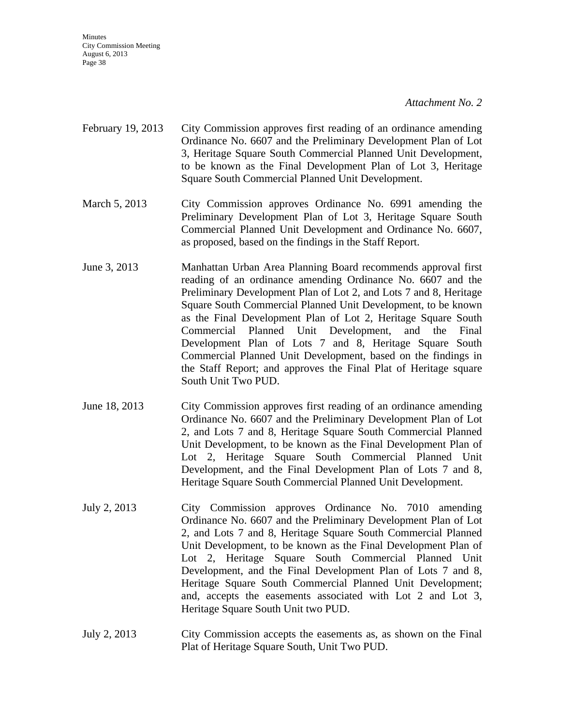Minutes City Commission Meeting August 6, 2013 Page 38

#### *Attachment No. 2*

- February 19, 2013 City Commission approves first reading of an ordinance amending Ordinance No. 6607 and the Preliminary Development Plan of Lot 3, Heritage Square South Commercial Planned Unit Development, to be known as the Final Development Plan of Lot 3, Heritage Square South Commercial Planned Unit Development.
- March 5, 2013 City Commission approves Ordinance No. 6991 amending the Preliminary Development Plan of Lot 3, Heritage Square South Commercial Planned Unit Development and Ordinance No. 6607, as proposed, based on the findings in the Staff Report.
- June 3, 2013 Manhattan Urban Area Planning Board recommends approval first reading of an ordinance amending Ordinance No. 6607 and the Preliminary Development Plan of Lot 2, and Lots 7 and 8, Heritage Square South Commercial Planned Unit Development, to be known as the Final Development Plan of Lot 2, Heritage Square South Commercial Planned Unit Development, and the Final Development Plan of Lots 7 and 8, Heritage Square South Commercial Planned Unit Development, based on the findings in the Staff Report; and approves the Final Plat of Heritage square South Unit Two PUD.
- June 18, 2013 City Commission approves first reading of an ordinance amending Ordinance No. 6607 and the Preliminary Development Plan of Lot 2, and Lots 7 and 8, Heritage Square South Commercial Planned Unit Development, to be known as the Final Development Plan of Lot 2, Heritage Square South Commercial Planned Unit Development, and the Final Development Plan of Lots 7 and 8, Heritage Square South Commercial Planned Unit Development.
- July 2, 2013 City Commission approves Ordinance No. 7010 amending Ordinance No. 6607 and the Preliminary Development Plan of Lot 2, and Lots 7 and 8, Heritage Square South Commercial Planned Unit Development, to be known as the Final Development Plan of Lot 2, Heritage Square South Commercial Planned Unit Development, and the Final Development Plan of Lots 7 and 8, Heritage Square South Commercial Planned Unit Development; and, accepts the easements associated with Lot 2 and Lot 3, Heritage Square South Unit two PUD.
- July 2, 2013 City Commission accepts the easements as, as shown on the Final Plat of Heritage Square South, Unit Two PUD.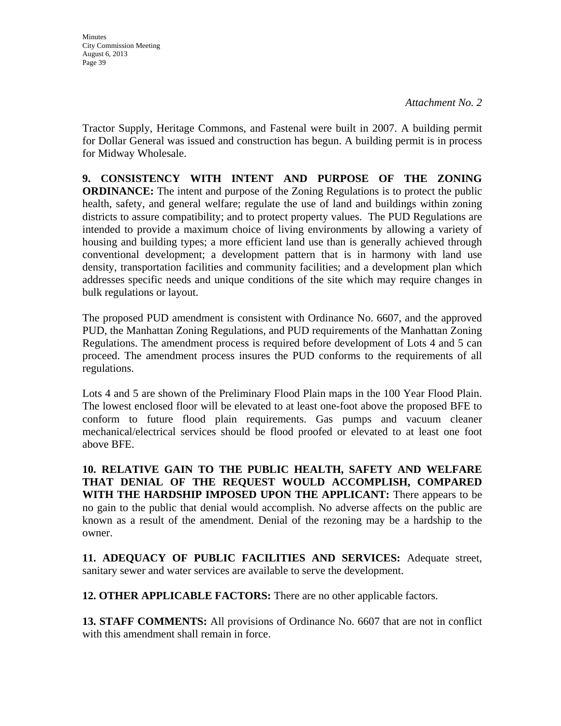**Minutes** City Commission Meeting August 6, 2013 Page 39

Tractor Supply, Heritage Commons, and Fastenal were built in 2007. A building permit for Dollar General was issued and construction has begun. A building permit is in process for Midway Wholesale.

**9. CONSISTENCY WITH INTENT AND PURPOSE OF THE ZONING ORDINANCE:** The intent and purpose of the Zoning Regulations is to protect the public health, safety, and general welfare; regulate the use of land and buildings within zoning districts to assure compatibility; and to protect property values. The PUD Regulations are intended to provide a maximum choice of living environments by allowing a variety of housing and building types; a more efficient land use than is generally achieved through conventional development; a development pattern that is in harmony with land use density, transportation facilities and community facilities; and a development plan which addresses specific needs and unique conditions of the site which may require changes in bulk regulations or layout.

The proposed PUD amendment is consistent with Ordinance No. 6607, and the approved PUD, the Manhattan Zoning Regulations, and PUD requirements of the Manhattan Zoning Regulations. The amendment process is required before development of Lots 4 and 5 can proceed. The amendment process insures the PUD conforms to the requirements of all regulations.

Lots 4 and 5 are shown of the Preliminary Flood Plain maps in the 100 Year Flood Plain. The lowest enclosed floor will be elevated to at least one-foot above the proposed BFE to conform to future flood plain requirements. Gas pumps and vacuum cleaner mechanical/electrical services should be flood proofed or elevated to at least one foot above BFE.

**10. RELATIVE GAIN TO THE PUBLIC HEALTH, SAFETY AND WELFARE THAT DENIAL OF THE REQUEST WOULD ACCOMPLISH, COMPARED WITH THE HARDSHIP IMPOSED UPON THE APPLICANT:** There appears to be no gain to the public that denial would accomplish. No adverse affects on the public are known as a result of the amendment. Denial of the rezoning may be a hardship to the owner.

**11. ADEQUACY OF PUBLIC FACILITIES AND SERVICES:** Adequate street, sanitary sewer and water services are available to serve the development.

**12. OTHER APPLICABLE FACTORS:** There are no other applicable factors.

**13. STAFF COMMENTS:** All provisions of Ordinance No. 6607 that are not in conflict with this amendment shall remain in force.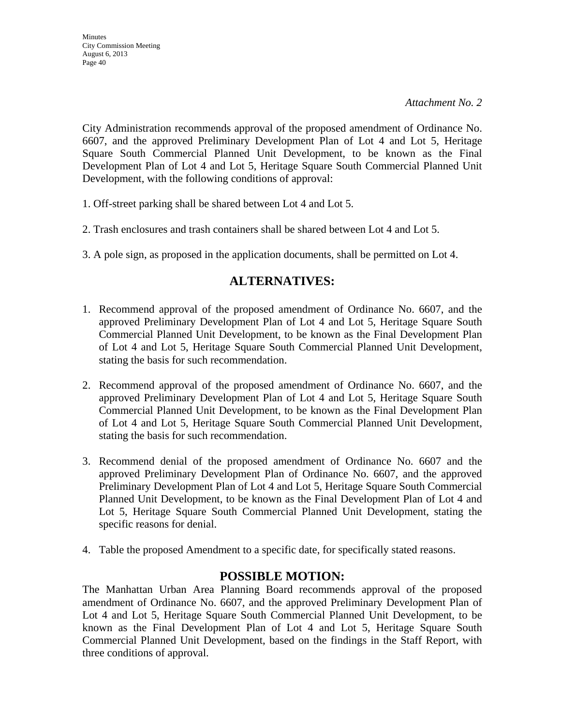City Administration recommends approval of the proposed amendment of Ordinance No. 6607, and the approved Preliminary Development Plan of Lot 4 and Lot 5, Heritage Square South Commercial Planned Unit Development, to be known as the Final Development Plan of Lot 4 and Lot 5, Heritage Square South Commercial Planned Unit Development, with the following conditions of approval:

- 1. Off-street parking shall be shared between Lot 4 and Lot 5.
- 2. Trash enclosures and trash containers shall be shared between Lot 4 and Lot 5.
- 3. A pole sign, as proposed in the application documents, shall be permitted on Lot 4.

### **ALTERNATIVES:**

- 1. Recommend approval of the proposed amendment of Ordinance No. 6607, and the approved Preliminary Development Plan of Lot 4 and Lot 5, Heritage Square South Commercial Planned Unit Development, to be known as the Final Development Plan of Lot 4 and Lot 5, Heritage Square South Commercial Planned Unit Development, stating the basis for such recommendation.
- 2. Recommend approval of the proposed amendment of Ordinance No. 6607, and the approved Preliminary Development Plan of Lot 4 and Lot 5, Heritage Square South Commercial Planned Unit Development, to be known as the Final Development Plan of Lot 4 and Lot 5, Heritage Square South Commercial Planned Unit Development, stating the basis for such recommendation.
- 3. Recommend denial of the proposed amendment of Ordinance No. 6607 and the approved Preliminary Development Plan of Ordinance No. 6607, and the approved Preliminary Development Plan of Lot 4 and Lot 5, Heritage Square South Commercial Planned Unit Development, to be known as the Final Development Plan of Lot 4 and Lot 5, Heritage Square South Commercial Planned Unit Development, stating the specific reasons for denial.
- 4. Table the proposed Amendment to a specific date, for specifically stated reasons.

### **POSSIBLE MOTION:**

The Manhattan Urban Area Planning Board recommends approval of the proposed amendment of Ordinance No. 6607, and the approved Preliminary Development Plan of Lot 4 and Lot 5, Heritage Square South Commercial Planned Unit Development, to be known as the Final Development Plan of Lot 4 and Lot 5, Heritage Square South Commercial Planned Unit Development, based on the findings in the Staff Report, with three conditions of approval.